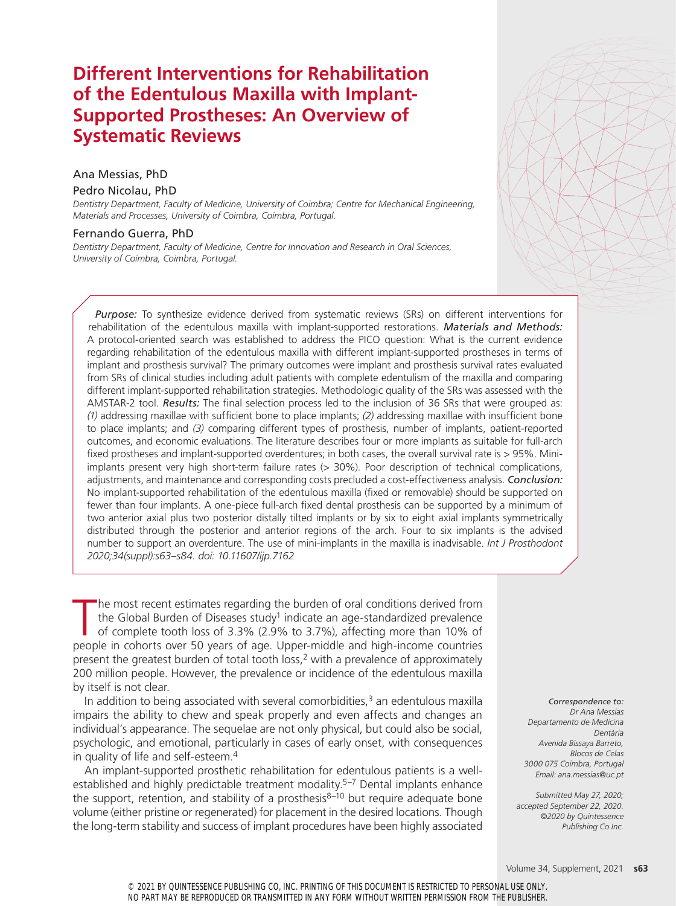# **Different Interventions for Rehabilitation of the Edentulous Maxilla with Implant-Supported Prostheses: An Overview of Systematic Reviews**

### Ana Messias, PhD Pedro Nicolau, PhD

*Dentistry Department, Faculty of Medicine, University of Coimbra; Centre for Mechanical Engineering, Materials and Processes, University of Coimbra, Coimbra, Portugal.*

#### Fernando Guerra, PhD

*Dentistry Department, Faculty of Medicine, Centre for Innovation and Research in Oral Sciences, University of Coimbra, Coimbra, Portugal.*

*Purpose:* To synthesize evidence derived from systematic reviews (SRs) on different interventions for rehabilitation of the edentulous maxilla with implant-supported restorations. *Materials and Methods:* A protocol-oriented search was established to address the PICO question: What is the current evidence regarding rehabilitation of the edentulous maxilla with different implant-supported prostheses in terms of implant and prosthesis survival? The primary outcomes were implant and prosthesis survival rates evaluated from SRs of clinical studies including adult patients with complete edentulism of the maxilla and comparing different implant-supported rehabilitation strategies. Methodologic quality of the SRs was assessed with the AMSTAR-2 tool. *Results:* The final selection process led to the inclusion of 36 SRs that were grouped as: *(1)* addressing maxillae with sufficient bone to place implants; *(2)* addressing maxillae with insufficient bone to place implants; and *(3)* comparing different types of prosthesis, number of implants, patient-reported outcomes, and economic evaluations. The literature describes four or more implants as suitable for full-arch fixed prostheses and implant-supported overdentures; in both cases, the overall survival rate is > 95%. Miniimplants present very high short-term failure rates  $(> 30\%)$ . Poor description of technical complications, adjustments, and maintenance and corresponding costs precluded a cost-effectiveness analysis. *Conclusion:*  No implant-supported rehabilitation of the edentulous maxilla (fixed or removable) should be supported on fewer than four implants. A one-piece full-arch fixed dental prosthesis can be supported by a minimum of two anterior axial plus two posterior distally tilted implants or by six to eight axial implants symmetrically distributed through the posterior and anterior regions of the arch. Four to six implants is the advised number to support an overdenture. The use of mini-implants in the maxilla is inadvisable. *Int J Prosthodont 2020;34(suppl):s63–s84. doi: 10.11607/ijp.7162*

The most recent estimates regarding the burden of oral conditions derived from<br>the Global Burden of Diseases study<sup>1</sup> indicate an age-standardized prevalence<br>of complete tooth loss of 3.3% (2.9% to 3.7%), affecting more th he most recent estimates regarding the burden of oral conditions derived from the Global Burden of Diseases study<sup>1</sup> indicate an age-standardized prevalence of complete tooth loss of 3.3% (2.9% to 3.7%), affecting more than 10% of present the greatest burden of total tooth loss,<sup>2</sup> with a prevalence of approximately 200 million people. However, the prevalence or incidence of the edentulous maxilla by itself is not clear.

In addition to being associated with several comorbidities, $3$  an edentulous maxilla impairs the ability to chew and speak properly and even affects and changes an individual's appearance. The sequelae are not only physical, but could also be social, psychologic, and emotional, particularly in cases of early onset, with consequences in quality of life and self-esteem.<sup>4</sup>

An implant-supported prosthetic rehabilitation for edentulous patients is a wellestablished and highly predictable treatment modality.<sup>5-7</sup> Dental implants enhance the support, retention, and stability of a prosthesis<sup>8–10</sup> but require adequate bone volume (either pristine or regenerated) for placement in the desired locations. Though the long-term stability and success of implant procedures have been highly associated

*Correspondence to: Dr Ana Messias Departamento de Medicina Dentária Avenida Bissaya Barreto, Blocos de Celas 3000 075 Coimbra, Portugal Email: ana.messias@uc.pt*

*Submitted May 27, 2020; accepted September 22, 2020. ©2020 by Quintessence Publishing Co Inc.*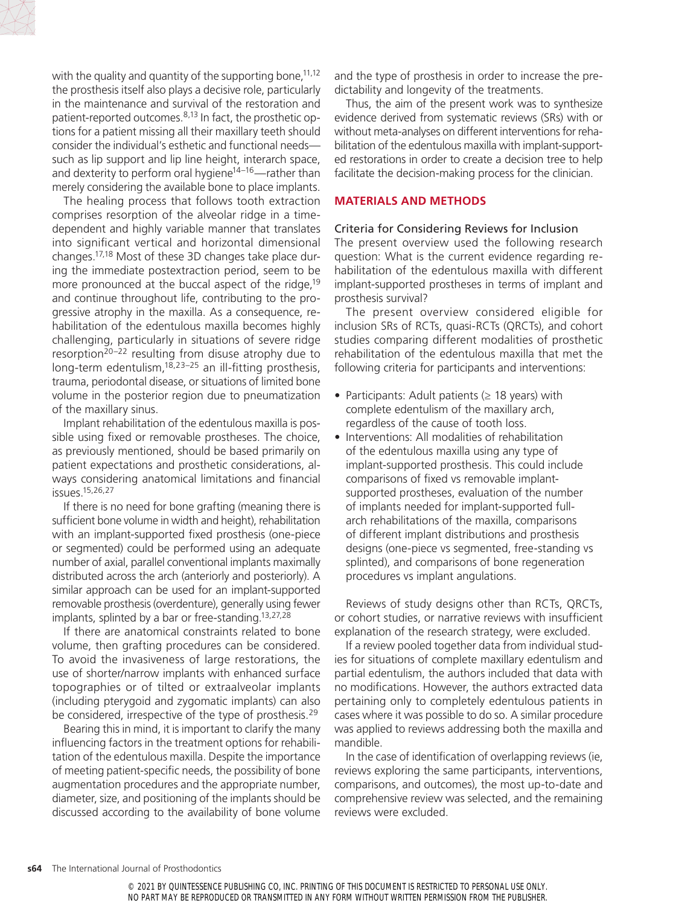

with the quality and quantity of the supporting bone,  $11,12$ the prosthesis itself also plays a decisive role, particularly in the maintenance and survival of the restoration and patient-reported outcomes.  $8,13$  In fact, the prosthetic options for a patient missing all their maxillary teeth should consider the individual's esthetic and functional needs such as lip support and lip line height, interarch space, and dexterity to perform oral hygiene<sup>14–16</sup>—rather than merely considering the available bone to place implants.

The healing process that follows tooth extraction comprises resorption of the alveolar ridge in a timedependent and highly variable manner that translates into significant vertical and horizontal dimensional changes.17,18 Most of these 3D changes take place during the immediate postextraction period, seem to be more pronounced at the buccal aspect of the ridge,<sup>19</sup> and continue throughout life, contributing to the progressive atrophy in the maxilla. As a consequence, rehabilitation of the edentulous maxilla becomes highly challenging, particularly in situations of severe ridge resorption $20-22$  resulting from disuse atrophy due to long-term edentulism, $18,23-25$  an ill-fitting prosthesis, trauma, periodontal disease, or situations of limited bone volume in the posterior region due to pneumatization of the maxillary sinus.

Implant rehabilitation of the edentulous maxilla is possible using fixed or removable prostheses. The choice, as previously mentioned, should be based primarily on patient expectations and prosthetic considerations, always considering anatomical limitations and financial issues.15,26,27

If there is no need for bone grafting (meaning there is sufficient bone volume in width and height), rehabilitation with an implant-supported fixed prosthesis (one-piece or segmented) could be performed using an adequate number of axial, parallel conventional implants maximally distributed across the arch (anteriorly and posteriorly). A similar approach can be used for an implant-supported removable prosthesis (overdenture), generally using fewer implants, splinted by a bar or free-standing.13,27,28

If there are anatomical constraints related to bone volume, then grafting procedures can be considered. To avoid the invasiveness of large restorations, the use of shorter/narrow implants with enhanced surface topographies or of tilted or extraalveolar implants (including pterygoid and zygomatic implants) can also be considered, irrespective of the type of prosthesis.<sup>29</sup>

Bearing this in mind, it is important to clarify the many influencing factors in the treatment options for rehabilitation of the edentulous maxilla. Despite the importance of meeting patient-specific needs, the possibility of bone augmentation procedures and the appropriate number, diameter, size, and positioning of the implants should be discussed according to the availability of bone volume and the type of prosthesis in order to increase the predictability and longevity of the treatments.

Thus, the aim of the present work was to synthesize evidence derived from systematic reviews (SRs) with or without meta-analyses on different interventions for rehabilitation of the edentulous maxilla with implant-supported restorations in order to create a decision tree to help facilitate the decision-making process for the clinician.

#### **MATERIALS AND METHODS**

#### Criteria for Considering Reviews for Inclusion

The present overview used the following research question: What is the current evidence regarding rehabilitation of the edentulous maxilla with different implant-supported prostheses in terms of implant and prosthesis survival?

The present overview considered eligible for inclusion SRs of RCTs, quasi-RCTs (QRCTs), and cohort studies comparing different modalities of prosthetic rehabilitation of the edentulous maxilla that met the following criteria for participants and interventions:

- Participants: Adult patients ( $\geq$  18 years) with complete edentulism of the maxillary arch, regardless of the cause of tooth loss.
- Interventions: All modalities of rehabilitation of the edentulous maxilla using any type of implant-supported prosthesis. This could include comparisons of fixed vs removable implantsupported prostheses, evaluation of the number of implants needed for implant-supported fullarch rehabilitations of the maxilla, comparisons of different implant distributions and prosthesis designs (one-piece vs segmented, free-standing vs splinted), and comparisons of bone regeneration procedures vs implant angulations.

Reviews of study designs other than RCTs, QRCTs, or cohort studies, or narrative reviews with insufficient explanation of the research strategy, were excluded.

If a review pooled together data from individual studies for situations of complete maxillary edentulism and partial edentulism, the authors included that data with no modifications. However, the authors extracted data pertaining only to completely edentulous patients in cases where it was possible to do so. A similar procedure was applied to reviews addressing both the maxilla and mandible.

In the case of identification of overlapping reviews (ie, reviews exploring the same participants, interventions, comparisons, and outcomes), the most up‐to‐date and comprehensive review was selected, and the remaining reviews were excluded.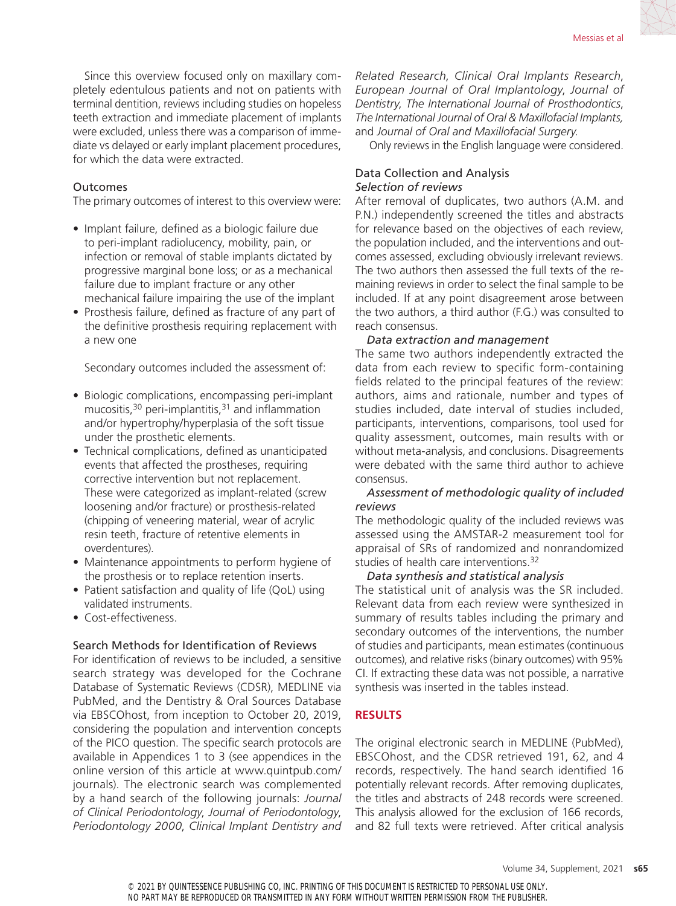Since this overview focused only on maxillary completely edentulous patients and not on patients with terminal dentition, reviews including studies on hopeless teeth extraction and immediate placement of implants were excluded, unless there was a comparison of immediate vs delayed or early implant placement procedures, for which the data were extracted.

#### **Outcomes**

The primary outcomes of interest to this overview were:

- Implant failure, defined as a biologic failure due to peri-implant radiolucency, mobility, pain, or infection or removal of stable implants dictated by progressive marginal bone loss; or as a mechanical failure due to implant fracture or any other mechanical failure impairing the use of the implant
- Prosthesis failure, defined as fracture of any part of the definitive prosthesis requiring replacement with a new one

Secondary outcomes included the assessment of:

- Biologic complications, encompassing peri-implant mucositis,  $30$  peri-implantitis,  $31$  and inflammation and/or hypertrophy/hyperplasia of the soft tissue under the prosthetic elements.
- Technical complications, defined as unanticipated events that affected the prostheses, requiring corrective intervention but not replacement. These were categorized as implant-related (screw loosening and/or fracture) or prosthesis-related (chipping of veneering material, wear of acrylic resin teeth, fracture of retentive elements in overdentures).
- Maintenance appointments to perform hygiene of the prosthesis or to replace retention inserts.
- Patient satisfaction and quality of life (QoL) using validated instruments.
- Cost-effectiveness.

#### Search Methods for Identification of Reviews

For identification of reviews to be included, a sensitive search strategy was developed for the Cochrane Database of Systematic Reviews (CDSR), MEDLINE via PubMed, and the Dentistry & Oral Sources Database via EBSCOhost, from inception to October 20, 2019, considering the population and intervention concepts of the PICO question. The specific search protocols are available in Appendices 1 to 3 (see appendices in the online version of this article at www.quintpub.com/ journals). The electronic search was complemented by a hand search of the following journals: *Journal of Clinical Periodontology*, *Journal of Periodontology*, *Periodontology 2000*, *Clinical Implant Dentistry and* 

*Related Research*, *Clinical Oral Implants Research*, *European Journal of Oral Implantology*, *Journal of Dentistry*, *The International Journal of Prosthodontics*, *The International Journal of Oral & Maxillofacial Implants,*  and *Journal of Oral and Maxillofacial Surgery*.

Only reviews in the English language were considered.

#### Data Collection and Analysis *Selection of reviews*

After removal of duplicates, two authors (A.M. and P.N.) independently screened the titles and abstracts for relevance based on the objectives of each review, the population included, and the interventions and outcomes assessed, excluding obviously irrelevant reviews. The two authors then assessed the full texts of the remaining reviews in order to select the final sample to be included. If at any point disagreement arose between the two authors, a third author (F.G.) was consulted to reach consensus.

#### *Data extraction and management*

The same two authors independently extracted the data from each review to specific form-containing fields related to the principal features of the review: authors, aims and rationale, number and types of studies included, date interval of studies included, participants, interventions, comparisons, tool used for quality assessment, outcomes, main results with or without meta-analysis, and conclusions. Disagreements were debated with the same third author to achieve consensus.

#### *Assessment of methodologic quality of included reviews*

The methodologic quality of the included reviews was assessed using the AMSTAR-2 measurement tool for appraisal of SRs of randomized and nonrandomized studies of health care interventions.<sup>32</sup>

#### *Data synthesis and statistical analysis*

The statistical unit of analysis was the SR included. Relevant data from each review were synthesized in summary of results tables including the primary and secondary outcomes of the interventions, the number of studies and participants, mean estimates (continuous outcomes), and relative risks (binary outcomes) with 95% CI. If extracting these data was not possible, a narrative synthesis was inserted in the tables instead.

#### **RESULTS**

The original electronic search in MEDLINE (PubMed), EBSCOhost, and the CDSR retrieved 191, 62, and 4 records, respectively. The hand search identified 16 potentially relevant records. After removing duplicates, the titles and abstracts of 248 records were screened. This analysis allowed for the exclusion of 166 records, and 82 full texts were retrieved. After critical analysis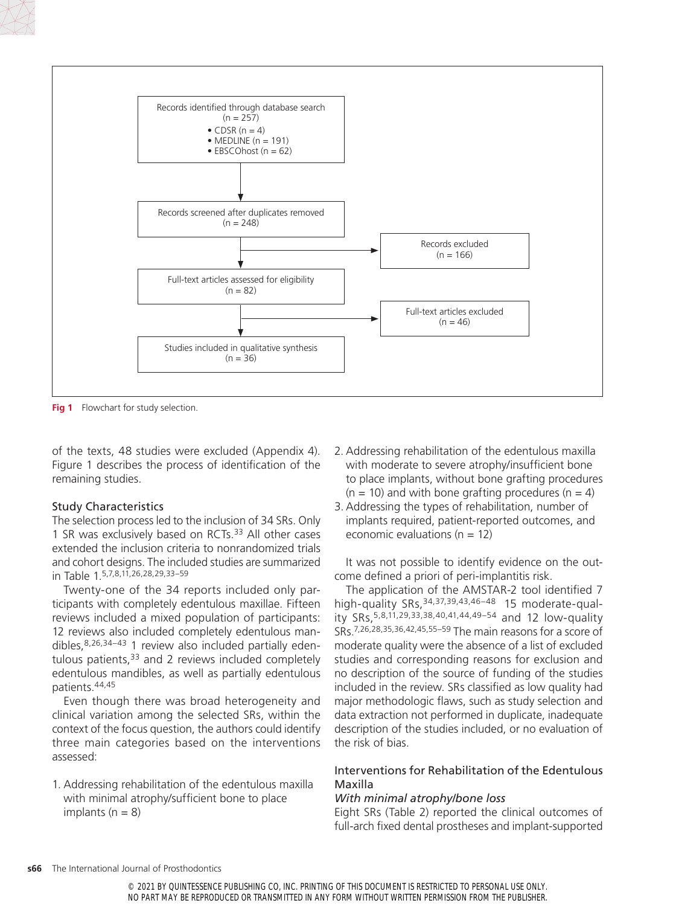

**Fig 1** Flowchart for study selection.

of the texts, 48 studies were excluded (Appendix 4). Figure 1 describes the process of identification of the remaining studies.

#### Study Characteristics

The selection process led to the inclusion of 34 SRs. Only 1 SR was exclusively based on RCTs.33 All other cases extended the inclusion criteria to nonrandomized trials and cohort designs. The included studies are summarized in Table 1.5,7,8,11,26,28,29,33–59

Twenty-one of the 34 reports included only participants with completely edentulous maxillae. Fifteen reviews included a mixed population of participants: 12 reviews also included completely edentulous mandibles,8,26,34–43 1 review also included partially edentulous patients,  $33$  and 2 reviews included completely edentulous mandibles, as well as partially edentulous patients.44,45

Even though there was broad heterogeneity and clinical variation among the selected SRs, within the context of the focus question, the authors could identify three main categories based on the interventions assessed:

1. Addressing rehabilitation of the edentulous maxilla with minimal atrophy/sufficient bone to place implants  $(n = 8)$ 

- 2. Addressing rehabilitation of the edentulous maxilla with moderate to severe atrophy/insufficient bone to place implants, without bone grafting procedures  $(n = 10)$  and with bone grafting procedures  $(n = 4)$
- 3. Addressing the types of rehabilitation, number of implants required, patient-reported outcomes, and economic evaluations ( $n = 12$ )

It was not possible to identify evidence on the outcome defined a priori of peri-implantitis risk.

The application of the AMSTAR-2 tool identified 7 high-quality SRs,<sup>34,37,39,43,46–48</sup> 15 moderate-quality SRs,5,8,11,29,33,38,40,41,44,49–54 and 12 low-quality SRs.7,26,28,35,36,42,45,55–59 The main reasons for a score of moderate quality were the absence of a list of excluded studies and corresponding reasons for exclusion and no description of the source of funding of the studies included in the review. SRs classified as low quality had major methodologic flaws, such as study selection and data extraction not performed in duplicate, inadequate description of the studies included, or no evaluation of the risk of bias.

## Interventions for Rehabilitation of the Edentulous Maxilla

#### *With minimal atrophy/bone loss*

Eight SRs (Table 2) reported the clinical outcomes of full-arch fixed dental prostheses and implant-supported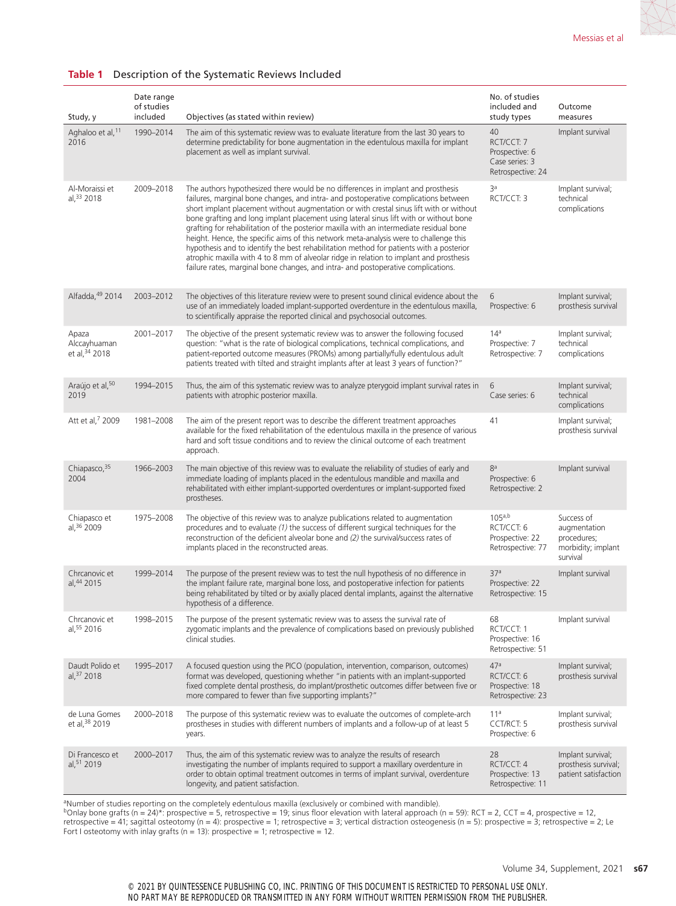#### Study, y Date range of studies Objectives (as stated within review) No. of studies included and study types Outcome measures Aghaloo et al,<sup>11</sup> 2016 1990–2014 The aim of this systematic review was to evaluate literature from the last 30 years to determine predictability for bone augmentation in the edentulous maxilla for implant placement as well as implant survival.  $40$ RCT/CCT: 7 Prospective: 6 Case series: 3 Retrospective: 24 Implant survival Al-Moraissi et al  $33$  2018 2009–2018 The authors hypothesized there would be no differences in implant and prosthesis failures, marginal bone changes, and intra- and postoperative complications between short implant placement without augmentation or with crestal sinus lift with or without bone grafting and long implant placement using lateral sinus lift with or without bone grafting for rehabilitation of the posterior maxilla with an intermediate residual bone height. Hence, the specific aims of this network meta-analysis were to challenge this hypothesis and to identify the best rehabilitation method for patients with a posterior atrophic maxilla with 4 to 8 mm of alveolar ridge in relation to implant and prosthesis failure rates, marginal bone changes, and intra- and postoperative complications. 3a RCT/CCT: 3 Implant survival; technical complications Alfadda,49 2014 2003–2012 The objectives of this literature review were to present sound clinical evidence about the use of an immediately loaded implant-supported overdenture in the edentulous maxilla, to scientifically appraise the reported clinical and psychosocial outcomes. 6 Prospective: 6 Implant survival; prosthesis survival Apaza Alccayhuaman et al,  $34$  2018 2001–2017 The objective of the present systematic review was to answer the following focused question: "what is the rate of biological complications, technical complications, and patient‐reported outcome measures (PROMs) among partially/fully edentulous adult patients treated with tilted and straight implants after at least 3 years of function?"  $14<sup>a</sup>$ Prospective: 7 Retrospective: 7 Implant survival; technical complications Araújo et al, 50 2019 1994–2015 Thus, the aim of this systematic review was to analyze pterygoid implant survival rates in patients with atrophic posterior maxilla. 6 Case series: 6 Implant survival; technical complications Att et al,<sup>7</sup> 2009 1981–2008 The aim of the present report was to describe the different treatment approaches available for the fixed rehabilitation of the edentulous maxilla in the presence of various hard and soft tissue conditions and to review the clinical outcome of each treatment approach. 41 Implant survival; prosthesis survival Chiapasco, 35 2004 1966–2003 The main objective of this review was to evaluate the reliability of studies of early and immediate loading of implants placed in the edentulous mandible and maxilla and rehabilitated with either implant-supported overdentures or implant-supported fixed prostheses. 8a Prospective: 6 Retrospective: 2 Implant survival Chiapasco et al,36 2009 1975–2008 The objective of this review was to analyze publications related to augmentation procedures and to evaluate *(1)* the success of different surgical techniques for the reconstruction of the deficient alveolar bone and *(2)* the survival/success rates of implants placed in the reconstructed areas. 105a,b RCT/CCT: 6 Prospective: 22 Retrospective: 77 Success of augmentation procedures; morbidity; implant survival Chrcanovic et al,44 2015 1999–2014 The purpose of the present review was to test the null hypothesis of no difference in the implant failure rate, marginal bone loss, and postoperative infection for patients being rehabilitated by tilted or by axially placed dental implants, against the alternative hypothesis of a difference. 37a Prospective: 22 Retrospective: 15 Implant survival Chrcanovic et al,55 2016 1998–2015 The purpose of the present systematic review was to assess the survival rate of zygomatic implants and the prevalence of complications based on previously published clinical studies. 68 RCT/CCT: 1 Prospective: 16 Retrospective: 51 Implant survival Daudt Polido et al,37 2018 1995–2017 A focused question using the PICO (population, intervention, comparison, outcomes) format was developed, questioning whether "in patients with an implant-supported fixed complete dental prosthesis, do implant/prosthetic outcomes differ between five or more compared to fewer than five supporting implants?"  $17a$ RCT/CCT: 6 Prospective: 18 Retrospective: 23 Implant survival; prosthesis survival de Luna Gomes et al, 38 2019 2000–2018 The purpose of this systematic review was to evaluate the outcomes of complete-arch prostheses in studies with different numbers of implants and a follow-up of at least 5 years. 11a CCT/RCT: 5 Prospective: 6 Implant survival; prosthesis survival Di Francesco et 2000–2017 Thus, the aim of this systematic review was to analyze the results of research 28 Implant survival;

#### **Table 1** Description of the Systematic Reviews Included

aNumber of studies reporting on the completely edentulous maxilla (exclusively or combined with mandible).

longevity, and patient satisfaction.

al 51 2019

 $b$ Onlay bone grafts (n = 24)\*: prospective = 5, retrospective = 19; sinus floor elevation with lateral approach (n = 59): RCT = 2, CCT = 4, prospective = 12, retrospective = 41; sagittal osteotomy (n = 4): prospective = 1; retrospective = 3; vertical distraction osteogenesis (n = 5): prospective = 3; retrospective = 2; Le Fort I osteotomy with inlay grafts ( $n = 13$ ): prospective = 1; retrospective = 12.

investigating the number of implants required to support a maxillary overdenture in order to obtain optimal treatment outcomes in terms of implant survival, overdenture prosthesis survival; patient satisfaction

RCT/CCT: 4 Prospective: 13 Retrospective: 11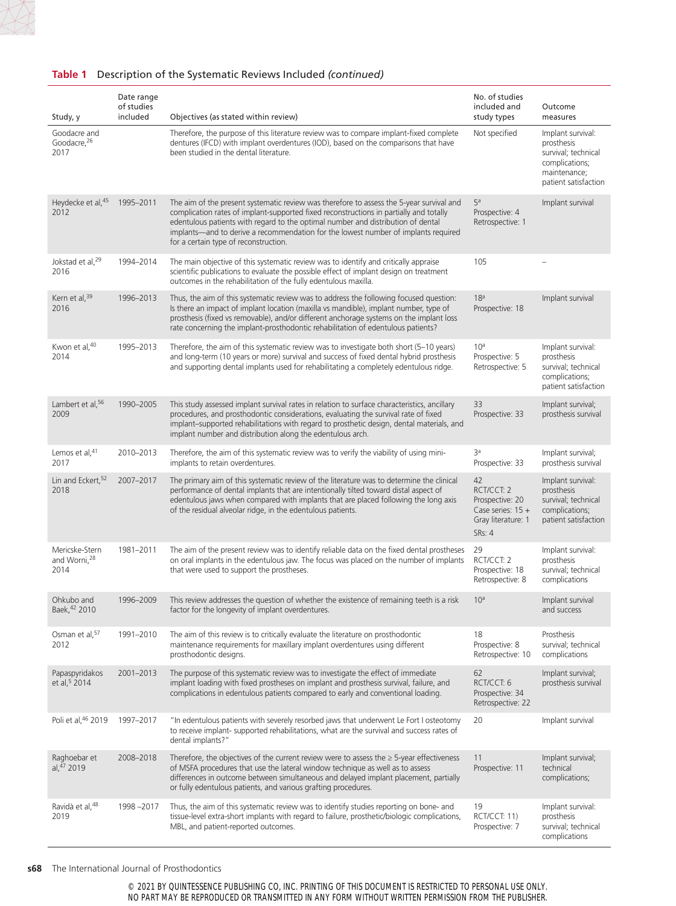#### **Table 1** Description of the Systematic Reviews Included *(continued)*

| Study, y                                           | Date range<br>of studies<br>included | Objectives (as stated within review)                                                                                                                                                                                                                                                                                                                                                                  | No. of studies<br>included and<br>study types                                                     | Outcome<br>measures                                                                                              |
|----------------------------------------------------|--------------------------------------|-------------------------------------------------------------------------------------------------------------------------------------------------------------------------------------------------------------------------------------------------------------------------------------------------------------------------------------------------------------------------------------------------------|---------------------------------------------------------------------------------------------------|------------------------------------------------------------------------------------------------------------------|
| Goodacre and<br>Goodacre, 26<br>2017               |                                      | Therefore, the purpose of this literature review was to compare implant-fixed complete<br>dentures (IFCD) with implant overdentures (IOD), based on the comparisons that have<br>been studied in the dental literature.                                                                                                                                                                               | Not specified                                                                                     | Implant survival:<br>prosthesis<br>survival; technical<br>complications;<br>maintenance;<br>patient satisfaction |
| Heydecke et al, 45<br>2012                         | 1995-2011                            | The aim of the present systematic review was therefore to assess the 5-year survival and<br>complication rates of implant-supported fixed reconstructions in partially and totally<br>edentulous patients with regard to the optimal number and distribution of dental<br>implants—and to derive a recommendation for the lowest number of implants required<br>for a certain type of reconstruction. | 5 <sup>a</sup><br>Prospective: 4<br>Retrospective: 1                                              | Implant survival                                                                                                 |
| Jokstad et al, <sup>29</sup><br>2016               | 1994-2014                            | The main objective of this systematic review was to identify and critically appraise<br>scientific publications to evaluate the possible effect of implant design on treatment<br>outcomes in the rehabilitation of the fully edentulous maxilla.                                                                                                                                                     | 105                                                                                               |                                                                                                                  |
| Kern et al, 39<br>2016                             | 1996-2013                            | Thus, the aim of this systematic review was to address the following focused question:<br>Is there an impact of implant location (maxilla vs mandible), implant number, type of<br>prosthesis (fixed vs removable), and/or different anchorage systems on the implant loss<br>rate concerning the implant-prosthodontic rehabilitation of edentulous patients?                                        | 18 <sup>a</sup><br>Prospective: 18                                                                | Implant survival                                                                                                 |
| Kwon et al, 40<br>2014                             | 1995-2013                            | Therefore, the aim of this systematic review was to investigate both short (5–10 years)<br>and long-term (10 years or more) survival and success of fixed dental hybrid prosthesis<br>and supporting dental implants used for rehabilitating a completely edentulous ridge.                                                                                                                           | 10 <sup>a</sup><br>Prospective: 5<br>Retrospective: 5                                             | Implant survival:<br>prosthesis<br>survival; technical<br>complications;<br>patient satisfaction                 |
| Lambert et al, 56<br>2009                          | 1990-2005                            | This study assessed implant survival rates in relation to surface characteristics, ancillary<br>procedures, and prosthodontic considerations, evaluating the survival rate of fixed<br>implant-supported rehabilitations with regard to prosthetic design, dental materials, and<br>implant number and distribution along the edentulous arch.                                                        | 33<br>Prospective: 33                                                                             | Implant survival;<br>prosthesis survival                                                                         |
| Lemos et al, 41<br>2017                            | 2010-2013                            | Therefore, the aim of this systematic review was to verify the viability of using mini-<br>implants to retain overdentures.                                                                                                                                                                                                                                                                           | За<br>Prospective: 33                                                                             | Implant survival;<br>prosthesis survival                                                                         |
| Lin and Eckert, 52<br>2018                         | 2007-2017                            | The primary aim of this systematic review of the literature was to determine the clinical<br>performance of dental implants that are intentionally tilted toward distal aspect of<br>edentulous jaws when compared with implants that are placed following the long axis<br>of the residual alveolar ridge, in the edentulous patients.                                                               | 42<br>RCT/CCT: 2<br>Prospective: 20<br>Case series: $15 +$<br>Gray literature: 1<br><b>SRs: 4</b> | Implant survival:<br>prosthesis<br>survival; technical<br>complications;<br>patient satisfaction                 |
| Mericske-Stern<br>and Worni, <sup>28</sup><br>2014 | 1981-2011                            | The aim of the present review was to identify reliable data on the fixed dental prostheses<br>on oral implants in the edentulous jaw. The focus was placed on the number of implants<br>that were used to support the prostheses.                                                                                                                                                                     | 29<br>RCT/CCT: 2<br>Prospective: 18<br>Retrospective: 8                                           | Implant survival:<br>prosthesis<br>survival; technical<br>complications                                          |
| Ohkubo and<br>Baek, 42 2010                        | 1996-2009                            | This review addresses the question of whether the existence of remaining teeth is a risk<br>factor for the longevity of implant overdentures.                                                                                                                                                                                                                                                         | 10 <sup>a</sup>                                                                                   | Implant survival<br>and success                                                                                  |
| Osman et al, 57<br>2012                            | 1991-2010                            | The aim of this review is to critically evaluate the literature on prosthodontic<br>maintenance requirements for maxillary implant overdentures using different<br>prosthodontic designs.                                                                                                                                                                                                             | 18<br>Prospective: 8<br>Retrospective: 10                                                         | Prosthesis<br>survival; technical<br>complications                                                               |
| Papaspyridakos<br>et al, <sup>5</sup> 2014         | 2001-2013                            | The purpose of this systematic review was to investigate the effect of immediate<br>implant loading with fixed prostheses on implant and prosthesis survival, failure, and<br>complications in edentulous patients compared to early and conventional loading.                                                                                                                                        | 62<br>RCT/CCT: 6<br>Prospective: 34<br>Retrospective: 22                                          | Implant survival;<br>prosthesis survival                                                                         |
| Poli et al, 46 2019                                | 1997-2017                            | "In edentulous patients with severely resorbed jaws that underwent Le Fort I osteotomy<br>to receive implant- supported rehabilitations, what are the survival and success rates of<br>dental implants?"                                                                                                                                                                                              | 20                                                                                                | Implant survival                                                                                                 |
| Raghoebar et<br>al, $47$ 2019                      | 2008-2018                            | Therefore, the objectives of the current review were to assess the $\geq$ 5-year effectiveness<br>of MSFA procedures that use the lateral window technique as well as to assess<br>differences in outcome between simultaneous and delayed implant placement, partially<br>or fully edentulous patients, and various grafting procedures.                                                             | 11<br>Prospective: 11                                                                             | Implant survival;<br>technical<br>complications;                                                                 |
| Ravidà et al, <sup>48</sup><br>2019                | 1998-2017                            | Thus, the aim of this systematic review was to identify studies reporting on bone- and<br>tissue-level extra-short implants with regard to failure, prosthetic/biologic complications,<br>MBL, and patient-reported outcomes.                                                                                                                                                                         | 19<br>RCT/CCT: 11)<br>Prospective: 7                                                              | Implant survival:<br>prosthesis<br>survival; technical<br>complications                                          |

#### **s68** The International Journal of Prosthodontics

© 2021 BY QUINTESSENCE PUBLISHING CO, INC. PRINTING OF THIS DOCUMENT IS RESTRICTED TO PERSONAL USE ONLY. NO PART MAY BE REPRODUCED OR TRANSMITTED IN ANY FORM WITHOUT WRITTEN PERMISSION FROM THE PUBLISHER.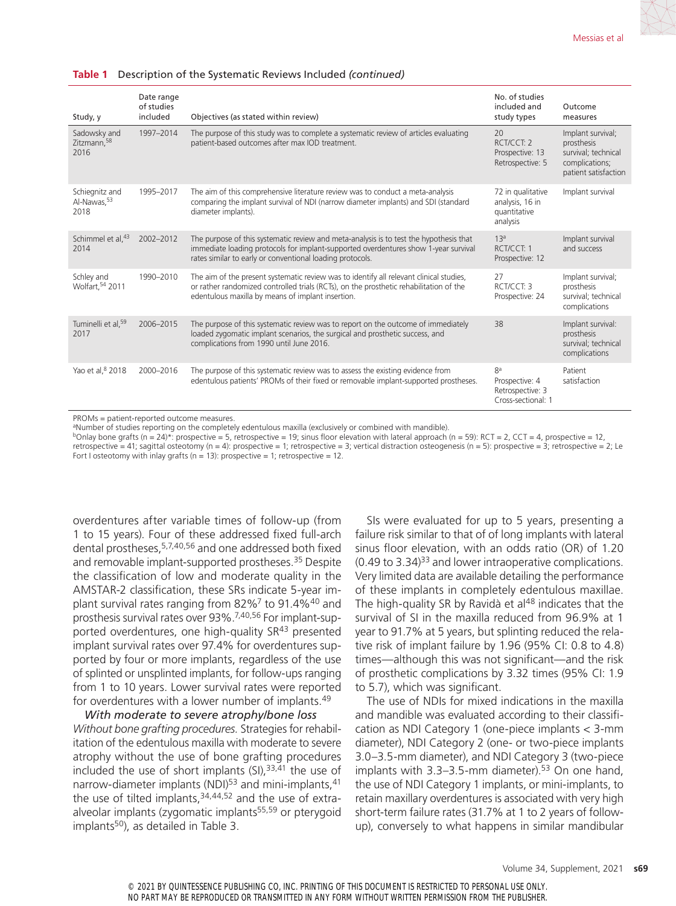#### **Table 1** Description of the Systematic Reviews Included *(continued)*

| Study, y                                  | Date range<br>of studies<br>included | Objectives (as stated within review)                                                                                                                                                                                                       | No. of studies<br>included and<br>study types                    | Outcome<br>measures                                                                              |
|-------------------------------------------|--------------------------------------|--------------------------------------------------------------------------------------------------------------------------------------------------------------------------------------------------------------------------------------------|------------------------------------------------------------------|--------------------------------------------------------------------------------------------------|
| Sadowsky and<br>Zitzmann, 58<br>2016      | 1997-2014                            | The purpose of this study was to complete a systematic review of articles evaluating<br>patient-based outcomes after max IOD treatment.                                                                                                    | 20<br>RCT/CCT: 2<br>Prospective: 13<br>Retrospective: 5          | Implant survival;<br>prosthesis<br>survival; technical<br>complications;<br>patient satisfaction |
| Schiegnitz and<br>Al-Nawas, 53<br>2018    | 1995-2017                            | The aim of this comprehensive literature review was to conduct a meta-analysis<br>comparing the implant survival of NDI (narrow diameter implants) and SDI (standard<br>diameter implants).                                                | 72 in qualitative<br>analysis, 16 in<br>quantitative<br>analysis | Implant survival                                                                                 |
| Schimmel et al, 43<br>2014                | 2002-2012                            | The purpose of this systematic review and meta-analysis is to test the hypothesis that<br>immediate loading protocols for implant-supported overdentures show 1-year survival<br>rates similar to early or conventional loading protocols. | 13 <sup>a</sup><br>RCT/CCT: 1<br>Prospective: 12                 | Implant survival<br>and success                                                                  |
| Schley and<br>Wolfart. <sup>54</sup> 2011 | 1990-2010                            | The aim of the present systematic review was to identify all relevant clinical studies,<br>or rather randomized controlled trials (RCTs), on the prosthetic rehabilitation of the<br>edentulous maxilla by means of implant insertion.     | 27<br>RCT/CCT 3<br>Prospective: 24                               | Implant survival;<br>prosthesis<br>survival; technical<br>complications                          |
| Tuminelli et al, 59<br>2017               | 2006-2015                            | The purpose of this systematic review was to report on the outcome of immediately<br>loaded zygomatic implant scenarios, the surgical and prosthetic success, and<br>complications from 1990 until June 2016.                              | 38                                                               | Implant survival:<br>prosthesis<br>survival; technical<br>complications                          |
| Yao et al. <sup>8</sup> 2018              | 2000-2016                            | The purpose of this systematic review was to assess the existing evidence from<br>edentulous patients' PROMs of their fixed or removable implant-supported prostheses.                                                                     | 8ª<br>Prospective: 4<br>Retrospective: 3<br>Cross-sectional: 1   | Patient<br>satisfaction                                                                          |

PROMs = patient-reported outcome measures.

<sup>a</sup>Number of studies reporting on the completely edentulous maxilla (exclusively or combined with mandible).

 $b$ Onlay bone grafts (n = 24)\*: prospective = 5, retrospective = 19; sinus floor elevation with lateral approach (n = 59): RCT = 2, CCT = 4, prospective = 12, retrospective = 41; sagittal osteotomy (n = 4): prospective = 1; retrospective = 3; vertical distraction osteogenesis (n = 5): prospective = 3; retrospective = 2; Le Fort I osteotomy with inlay grafts ( $n = 13$ ): prospective = 1; retrospective = 12.

overdentures after variable times of follow-up (from 1 to 15 years). Four of these addressed fixed full-arch dental prostheses,5,7,40,56 and one addressed both fixed and removable implant-supported prostheses.35 Despite the classification of low and moderate quality in the AMSTAR-2 classification, these SRs indicate 5-year implant survival rates ranging from 82%<sup>7</sup> to 91.4%<sup>40</sup> and prosthesis survival rates over 93%.7,40,56 For implant-supported overdentures, one high-quality SR<sup>43</sup> presented implant survival rates over 97.4% for overdentures supported by four or more implants, regardless of the use of splinted or unsplinted implants, for follow-ups ranging from 1 to 10 years. Lower survival rates were reported for overdentures with a lower number of implants.<sup>49</sup>

*With moderate to severe atrophy/bone loss Without bone grafting procedures.* Strategies for rehabilitation of the edentulous maxilla with moderate to severe atrophy without the use of bone grafting procedures included the use of short implants  $(SI),$ <sup>33,41</sup> the use of narrow-diameter implants (NDI)<sup>53</sup> and mini-implants,<sup>41</sup> the use of tilted implants,  $34,44,52$  and the use of extraalveolar implants (zygomatic implants<sup>55,59</sup> or pterygoid implants<sup>50</sup>), as detailed in Table 3.

SIs were evaluated for up to 5 years, presenting a failure risk similar to that of of long implants with lateral sinus floor elevation, with an odds ratio (OR) of 1.20  $(0.49 \text{ to } 3.34)$ <sup>33</sup> and lower intraoperative complications. Very limited data are available detailing the performance of these implants in completely edentulous maxillae. The high-quality SR by Ravidà et al<sup>48</sup> indicates that the survival of SI in the maxilla reduced from 96.9% at 1 year to 91.7% at 5 years, but splinting reduced the relative risk of implant failure by 1.96 (95% CI: 0.8 to 4.8) times—although this was not significant—and the risk of prosthetic complications by 3.32 times (95% CI: 1.9 to 5.7), which was significant.

The use of NDIs for mixed indications in the maxilla and mandible was evaluated according to their classification as NDI Category 1 (one-piece implants < 3-mm diameter), NDI Category 2 (one- or two-piece implants 3.0–3.5-mm diameter), and NDI Category 3 (two-piece implants with  $3.3-3.5$ -mm diameter).<sup>53</sup> On one hand, the use of NDI Category 1 implants, or mini-implants, to retain maxillary overdentures is associated with very high short-term failure rates (31.7% at 1 to 2 years of followup), conversely to what happens in similar mandibular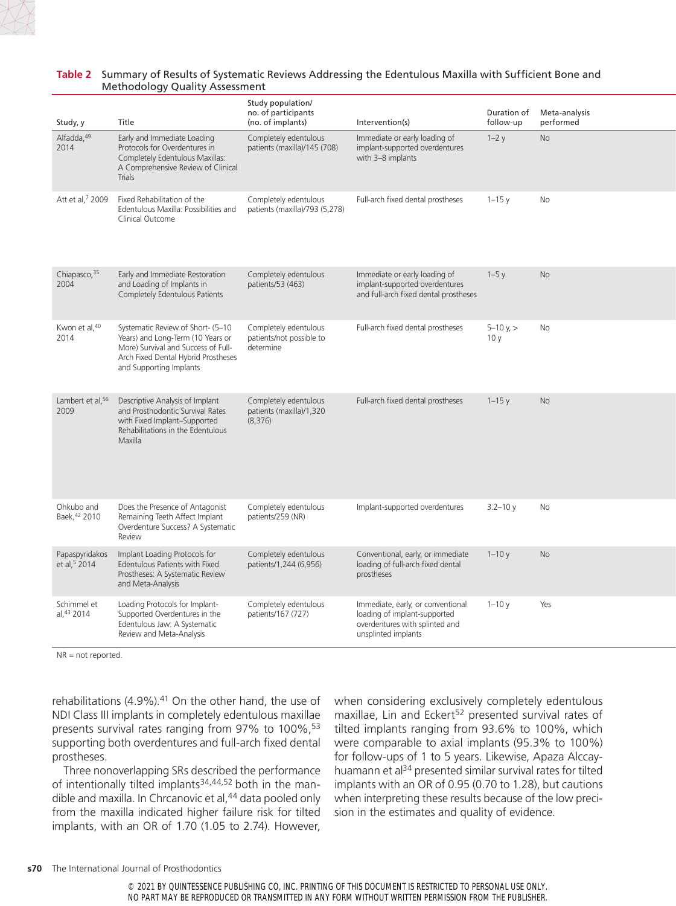

#### **Table 2** Summary of Results of Systematic Reviews Addressing the Edentulous Maxilla with Sufficient Bone and Methodology Quality Assessment

| Study, y                                   | Title                                                                                                                                                                           | Study population/<br>no. of participants<br>(no. of implants)  | Intervention(s)                                                                                                            | Duration of<br>follow-up | Meta-analysis<br>performed |
|--------------------------------------------|---------------------------------------------------------------------------------------------------------------------------------------------------------------------------------|----------------------------------------------------------------|----------------------------------------------------------------------------------------------------------------------------|--------------------------|----------------------------|
| Alfadda, 49<br>2014                        | Early and Immediate Loading<br>Protocols for Overdentures in<br>Completely Edentulous Maxillas:<br>A Comprehensive Review of Clinical<br><b>Trials</b>                          | Completely edentulous<br>patients (maxilla)/145 (708)          | Immediate or early loading of<br>implant-supported overdentures<br>with 3-8 implants                                       | $1-2y$                   | <b>No</b>                  |
| Att et al, <sup>7</sup> 2009               | Fixed Rehabilitation of the<br>Edentulous Maxilla: Possibilities and<br>Clinical Outcome                                                                                        | Completely edentulous<br>patients (maxilla)/793 (5,278)        | Full-arch fixed dental prostheses                                                                                          | $1 - 15$ v               | No                         |
| Chiapasco, 35<br>2004                      | Early and Immediate Restoration<br>and Loading of Implants in<br>Completely Edentulous Patients                                                                                 | Completely edentulous<br>patients/53 (463)                     | Immediate or early loading of<br>implant-supported overdentures<br>and full-arch fixed dental prostheses                   | $1-5y$                   | <b>No</b>                  |
| Kwon et al, 40<br>2014                     | Systematic Review of Short- (5-10<br>Years) and Long-Term (10 Years or<br>More) Survival and Success of Full-<br>Arch Fixed Dental Hybrid Prostheses<br>and Supporting Implants | Completely edentulous<br>patients/not possible to<br>determine | Full-arch fixed dental prostheses                                                                                          | $5 - 10$ v, $>$<br>10y   | No                         |
| Lambert et al, <sup>56</sup><br>2009       | Descriptive Analysis of Implant<br>and Prosthodontic Survival Rates<br>with Fixed Implant-Supported<br>Rehabilitations in the Edentulous<br>Maxilla                             | Completely edentulous<br>patients (maxilla)/1,320<br>(8,376)   | Full-arch fixed dental prostheses                                                                                          | $1 - 15y$                | No                         |
| Ohkubo and<br>Baek, 42 2010                | Does the Presence of Antagonist<br>Remaining Teeth Affect Implant<br>Overdenture Success? A Systematic<br>Review                                                                | Completely edentulous<br>patients/259 (NR)                     | Implant-supported overdentures                                                                                             | $3.2 - 10v$              | No                         |
| Papaspyridakos<br>et al, <sup>5</sup> 2014 | Implant Loading Protocols for<br>Edentulous Patients with Fixed<br>Prostheses: A Systematic Review<br>and Meta-Analysis                                                         | Completely edentulous<br>patients/1,244 (6,956)                | Conventional, early, or immediate<br>loading of full-arch fixed dental<br>prostheses                                       | $1 - 10y$                | <b>No</b>                  |
| Schimmel et<br>al. <sup>43</sup> 2014      | Loading Protocols for Implant-<br>Supported Overdentures in the<br>Edentulous Jaw: A Systematic<br>Review and Meta-Analysis                                                     | Completely edentulous<br>patients/167 (727)                    | Immediate, early, or conventional<br>loading of implant-supported<br>overdentures with splinted and<br>unsplinted implants | $1 - 10y$                | Yes                        |

NR = not reported.

rehabilitations  $(4.9\%)$ .<sup>41</sup> On the other hand, the use of NDI Class III implants in completely edentulous maxillae presents survival rates ranging from 97% to 100%,<sup>53</sup> supporting both overdentures and full-arch fixed dental prostheses.

Three nonoverlapping SRs described the performance of intentionally tilted implants $34,44,52$  both in the mandible and maxilla. In Chrcanovic et al,<sup>44</sup> data pooled only from the maxilla indicated higher failure risk for tilted implants, with an OR of 1.70 (1.05 to 2.74). However, when considering exclusively completely edentulous maxillae, Lin and Eckert<sup>52</sup> presented survival rates of tilted implants ranging from 93.6% to 100%, which were comparable to axial implants (95.3% to 100%) for follow-ups of 1 to 5 years. Likewise, Apaza Alccayhuamann et al<sup>34</sup> presented similar survival rates for tilted implants with an OR of 0.95 (0.70 to 1.28), but cautions when interpreting these results because of the low precision in the estimates and quality of evidence.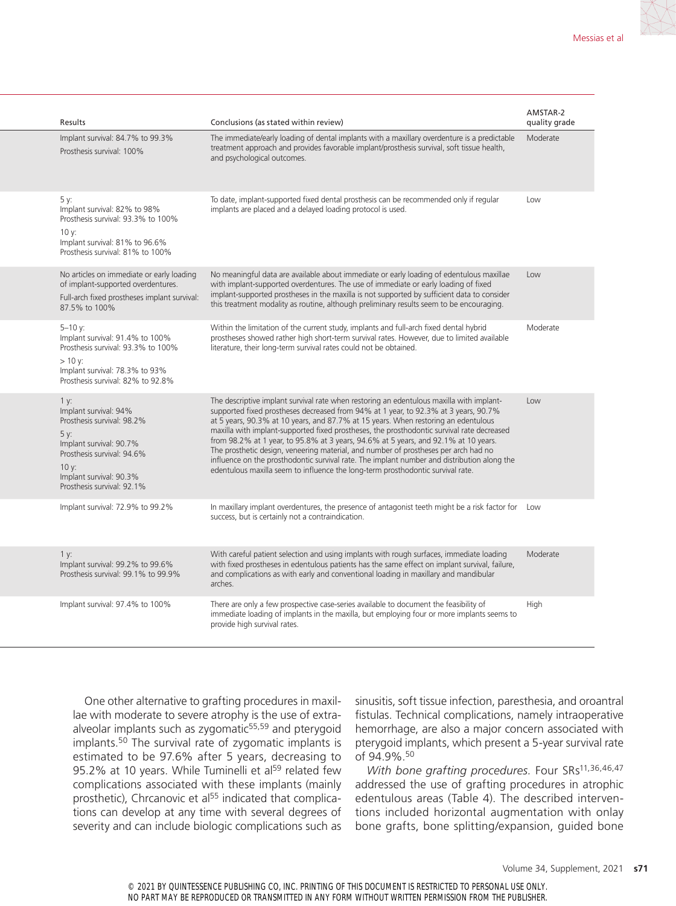| Results                                                                                                                                                                                           | Conclusions (as stated within review)                                                                                                                                                                                                                                                                                                                                                                                                                                                                                                                                                                                                                                                                                               | AMSTAR-2<br>quality grade |
|---------------------------------------------------------------------------------------------------------------------------------------------------------------------------------------------------|-------------------------------------------------------------------------------------------------------------------------------------------------------------------------------------------------------------------------------------------------------------------------------------------------------------------------------------------------------------------------------------------------------------------------------------------------------------------------------------------------------------------------------------------------------------------------------------------------------------------------------------------------------------------------------------------------------------------------------------|---------------------------|
| Implant survival: 84.7% to 99.3%<br>Prosthesis survival: 100%                                                                                                                                     | The immediate/early loading of dental implants with a maxillary overdenture is a predictable<br>treatment approach and provides favorable implant/prosthesis survival, soft tissue health,<br>and psychological outcomes.                                                                                                                                                                                                                                                                                                                                                                                                                                                                                                           | Moderate                  |
| 5 y:<br>Implant survival: 82% to 98%<br>Prosthesis survival: 93.3% to 100%<br>10 y:<br>Implant survival: 81% to 96.6%<br>Prosthesis survival: 81% to 100%                                         | To date, implant-supported fixed dental prosthesis can be recommended only if regular<br>implants are placed and a delayed loading protocol is used.                                                                                                                                                                                                                                                                                                                                                                                                                                                                                                                                                                                | Low                       |
| No articles on immediate or early loading<br>of implant-supported overdentures.<br>Full-arch fixed prostheses implant survival:<br>87.5% to 100%                                                  | No meaningful data are available about immediate or early loading of edentulous maxillae<br>with implant-supported overdentures. The use of immediate or early loading of fixed<br>implant-supported prostheses in the maxilla is not supported by sufficient data to consider<br>this treatment modality as routine, although preliminary results seem to be encouraging.                                                                                                                                                                                                                                                                                                                                                          | Low                       |
| $5 - 10$ v:<br>Implant survival: 91.4% to 100%<br>Prosthesis survival: 93.3% to 100%<br>$>10$ y:<br>Implant survival: 78.3% to 93%<br>Prosthesis survival: 82% to 92.8%                           | Within the limitation of the current study, implants and full-arch fixed dental hybrid<br>prostheses showed rather high short-term survival rates. However, due to limited available<br>literature, their long-term survival rates could not be obtained.                                                                                                                                                                                                                                                                                                                                                                                                                                                                           | Moderate                  |
| 1 y:<br>Implant survival: 94%<br>Prosthesis survival: 98.2%<br>5 y:<br>Implant survival: 90.7%<br>Prosthesis survival: 94.6%<br>$10 y$ :<br>Implant survival: 90.3%<br>Prosthesis survival: 92.1% | The descriptive implant survival rate when restoring an edentulous maxilla with implant-<br>supported fixed prostheses decreased from 94% at 1 year, to 92.3% at 3 years, 90.7%<br>at 5 years, 90.3% at 10 years, and 87.7% at 15 years. When restoring an edentulous<br>maxilla with implant-supported fixed prostheses, the prosthodontic survival rate decreased<br>from 98.2% at 1 year, to 95.8% at 3 years, 94.6% at 5 years, and 92.1% at 10 years.<br>The prosthetic design, veneering material, and number of prostheses per arch had no<br>influence on the prosthodontic survival rate. The implant number and distribution along the<br>edentulous maxilla seem to influence the long-term prosthodontic survival rate. | Low                       |
| Implant survival: 72.9% to 99.2%                                                                                                                                                                  | In maxillary implant overdentures, the presence of antagonist teeth might be a risk factor for Low<br>success, but is certainly not a contraindication.                                                                                                                                                                                                                                                                                                                                                                                                                                                                                                                                                                             |                           |
| 1 y:<br>Implant survival: 99.2% to 99.6%<br>Prosthesis survival: 99.1% to 99.9%                                                                                                                   | With careful patient selection and using implants with rough surfaces, immediate loading<br>with fixed prostheses in edentulous patients has the same effect on implant survival, failure,<br>and complications as with early and conventional loading in maxillary and mandibular<br>arches.                                                                                                                                                                                                                                                                                                                                                                                                                                       | Moderate                  |
| Implant survival: 97.4% to 100%                                                                                                                                                                   | There are only a few prospective case-series available to document the feasibility of<br>immediate loading of implants in the maxilla, but employing four or more implants seems to<br>provide high survival rates.                                                                                                                                                                                                                                                                                                                                                                                                                                                                                                                 | High                      |

One other alternative to grafting procedures in maxillae with moderate to severe atrophy is the use of extraalveolar implants such as zygomatic<sup>55,59</sup> and pterygoid implants.50 The survival rate of zygomatic implants is estimated to be 97.6% after 5 years, decreasing to 95.2% at 10 years. While Tuminelli et al<sup>59</sup> related few complications associated with these implants (mainly prosthetic), Chrcanovic et al<sup>55</sup> indicated that complications can develop at any time with several degrees of severity and can include biologic complications such as sinusitis, soft tissue infection, paresthesia, and oroantral fistulas. Technical complications, namely intraoperative hemorrhage, are also a major concern associated with pterygoid implants, which present a 5-year survival rate of  $94.9\%$ <sup>50</sup>

With bone grafting procedures. Four SRs<sup>11,36,46,47</sup> addressed the use of grafting procedures in atrophic edentulous areas (Table 4). The described interventions included horizontal augmentation with onlay bone grafts, bone splitting/expansion, guided bone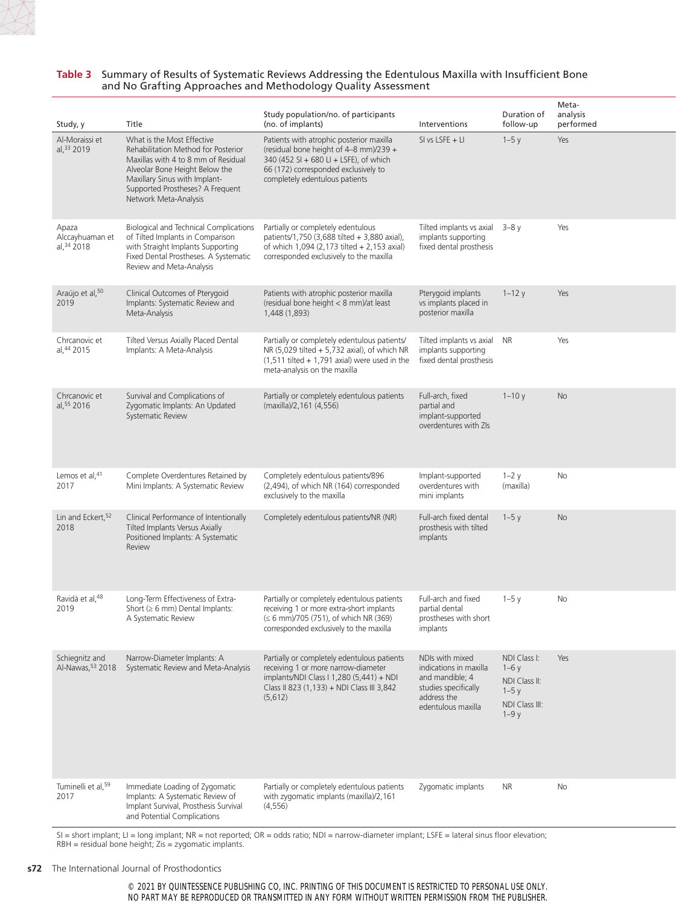#### **Table 3** Summary of Results of Systematic Reviews Addressing the Edentulous Maxilla with Insufficient Bone and No Grafting Approaches and Methodology Quality Assessment

| Study, y                                | Title                                                                                                                                                                                                                                    | Study population/no. of participants<br>(no. of implants)                                                                                                                                              | Interventions                                                                                                             | Duration of<br>follow-up                                                      | Meta-<br>analysis<br>performed |
|-----------------------------------------|------------------------------------------------------------------------------------------------------------------------------------------------------------------------------------------------------------------------------------------|--------------------------------------------------------------------------------------------------------------------------------------------------------------------------------------------------------|---------------------------------------------------------------------------------------------------------------------------|-------------------------------------------------------------------------------|--------------------------------|
| Al-Moraissi et<br>al, 33 2019           | What is the Most Effective<br>Rehabilitation Method for Posterior<br>Maxillas with 4 to 8 mm of Residual<br>Alveolar Bone Height Below the<br>Maxillary Sinus with Implant-<br>Supported Prostheses? A Frequent<br>Network Meta-Analysis | Patients with atrophic posterior maxilla<br>(residual bone height of 4-8 mm)/239 +<br>340 (452 SI + 680 LI + LSFE), of which<br>66 (172) corresponded exclusively to<br>completely edentulous patients | $SI$ vs LSFE + LI                                                                                                         | $1-5y$                                                                        | Yes                            |
| Apaza<br>Alccayhuaman et<br>al, 34 2018 | <b>Biological and Technical Complications</b><br>of Tilted Implants in Comparison<br>with Straight Implants Supporting<br>Fixed Dental Prostheses. A Systematic<br>Review and Meta-Analysis                                              | Partially or completely edentulous<br>patients/1,750 (3,688 tilted + 3,880 axial),<br>of which 1,094 (2,173 tilted + 2,153 axial)<br>corresponded exclusively to the maxilla                           | Tilted implants vs axial $3-8y$<br>implants supporting<br>fixed dental prosthesis                                         |                                                                               | Yes                            |
| Araújo et al, 50<br>2019                | Clinical Outcomes of Pterygoid<br>Implants: Systematic Review and<br>Meta-Analysis                                                                                                                                                       | Patients with atrophic posterior maxilla<br>(residual bone height < 8 mm)/at least<br>1,448 (1,893)                                                                                                    | Pterygoid implants<br>vs implants placed in<br>posterior maxilla                                                          | $1 - 12y$                                                                     | Yes                            |
| Chrcanovic et<br>al, 44 2015            | Tilted Versus Axially Placed Dental<br>Implants: A Meta-Analysis                                                                                                                                                                         | Partially or completely edentulous patients/<br>NR (5,029 tilted + 5,732 axial), of which NR<br>$(1,511$ tilted + 1,791 axial) were used in the<br>meta-analysis on the maxilla                        | Tilted implants vs axial NR<br>implants supporting<br>fixed dental prosthesis                                             |                                                                               | Yes                            |
| Chrcanovic et<br>al, 55 2016            | Survival and Complications of<br>Zygomatic Implants: An Updated<br>Systematic Review                                                                                                                                                     | Partially or completely edentulous patients<br>(maxilla)/2,161 (4,556)                                                                                                                                 | Full-arch, fixed<br>partial and<br>implant-supported<br>overdentures with ZIs                                             | $1 - 10y$                                                                     | <b>No</b>                      |
| Lemos et al, <sup>41</sup><br>2017      | Complete Overdentures Retained by<br>Mini Implants: A Systematic Review                                                                                                                                                                  | Completely edentulous patients/896<br>(2,494), of which NR (164) corresponded<br>exclusively to the maxilla                                                                                            | Implant-supported<br>overdentures with<br>mini implants                                                                   | $1-2y$<br>(maxilla)                                                           | No                             |
| Lin and Eckert, 52<br>2018              | Clinical Performance of Intentionally<br>Tilted Implants Versus Axially<br>Positioned Implants: A Systematic<br>Review                                                                                                                   | Completely edentulous patients/NR (NR)                                                                                                                                                                 | Full-arch fixed dental<br>prosthesis with tilted<br>implants                                                              | $1-5y$                                                                        | <b>No</b>                      |
| Ravidà et al, 48<br>2019                | Long-Term Effectiveness of Extra-<br>Short ( $\geq 6$ mm) Dental Implants:<br>A Systematic Review                                                                                                                                        | Partially or completely edentulous patients<br>receiving 1 or more extra-short implants<br>$(5.6 \text{ mm})$ /705 (751), of which NR (369)<br>corresponded exclusively to the maxilla                 | Full-arch and fixed<br>partial dental<br>prostheses with short<br>implants                                                | $1-5y$                                                                        | No                             |
| Schiegnitz and<br>Al-Nawas, 53 2018     | Narrow-Diameter Implants: A<br>Systematic Review and Meta-Analysis                                                                                                                                                                       | Partially or completely edentulous patients<br>receiving 1 or more narrow-diameter<br>implants/NDI Class I 1,280 (5,441) + NDI<br>Class II 823 (1,133) + NDI Class III 3,842<br>(5,612)                | NDIs with mixed<br>indications in maxilla<br>and mandible; 4<br>studies specifically<br>address the<br>edentulous maxilla | NDI Class I:<br>$1-6y$<br>NDI Class II:<br>$1-5y$<br>NDI Class III:<br>$1-9y$ | Yes                            |
| Tuminelli et al, 59<br>2017             | Immediate Loading of Zygomatic<br>Implants: A Systematic Review of<br>Implant Survival, Prosthesis Survival<br>and Potential Complications                                                                                               | Partially or completely edentulous patients<br>with zygomatic implants (maxilla)/2,161<br>(4, 556)                                                                                                     | Zygomatic implants                                                                                                        | NR.                                                                           | No                             |

SI = short implant; LI = long implant; NR = not reported; OR = odds ratio; NDI = narrow-diameter implant; LSFE = lateral sinus floor elevation; RBH = residual bone height; Zis = zygomatic implants.

#### **s72** The International Journal of Prosthodontics

© 2021 BY QUINTESSENCE PUBLISHING CO, INC. PRINTING OF THIS DOCUMENT IS RESTRICTED TO PERSONAL USE ONLY. NO PART MAY BE REPRODUCED OR TRANSMITTED IN ANY FORM WITHOUT WRITTEN PERMISSION FROM THE PUBLISHER.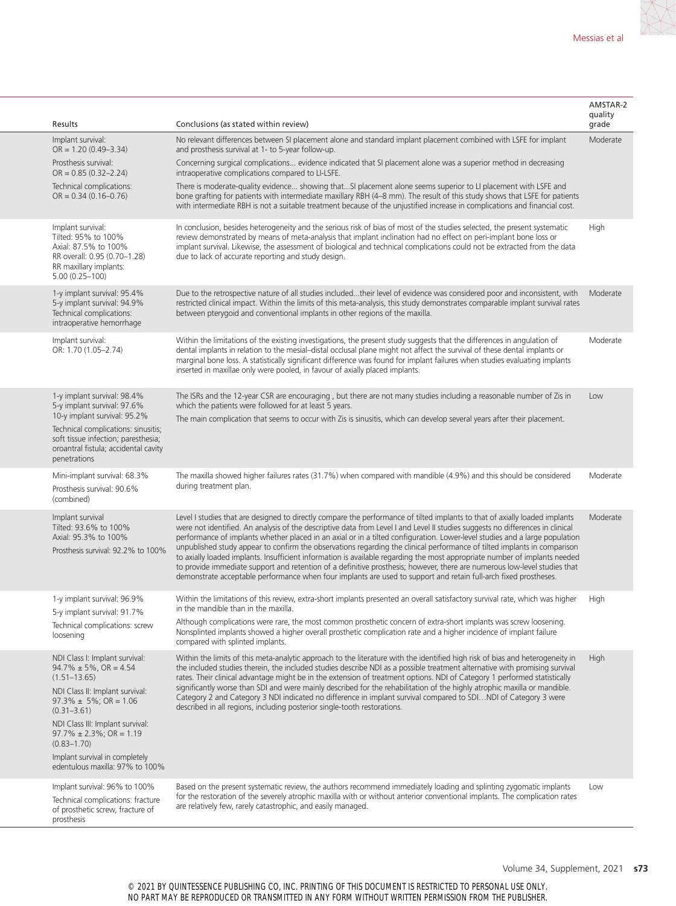| Results                                                                                                                                                                                                                                                           | Conclusions (as stated within review)                                                                                                                                                                                                                                                                                                                                                                                                                                                                                                                                                                                                                                                                                                                                                                                                                                                                   | AMSTAR-2<br>quality<br>grade |
|-------------------------------------------------------------------------------------------------------------------------------------------------------------------------------------------------------------------------------------------------------------------|---------------------------------------------------------------------------------------------------------------------------------------------------------------------------------------------------------------------------------------------------------------------------------------------------------------------------------------------------------------------------------------------------------------------------------------------------------------------------------------------------------------------------------------------------------------------------------------------------------------------------------------------------------------------------------------------------------------------------------------------------------------------------------------------------------------------------------------------------------------------------------------------------------|------------------------------|
| Implant survival:<br>$OR = 1.20 (0.49 - 3.34)$                                                                                                                                                                                                                    | No relevant differences between SI placement alone and standard implant placement combined with LSFE for implant<br>and prosthesis survival at 1- to 5-year follow-up.                                                                                                                                                                                                                                                                                                                                                                                                                                                                                                                                                                                                                                                                                                                                  | Moderate                     |
| Prosthesis survival:<br>$OR = 0.85(0.32 - 2.24)$                                                                                                                                                                                                                  | Concerning surgical complications evidence indicated that SI placement alone was a superior method in decreasing<br>intraoperative complications compared to LI-LSFE.                                                                                                                                                                                                                                                                                                                                                                                                                                                                                                                                                                                                                                                                                                                                   |                              |
| Technical complications:<br>$OR = 0.34(0.16 - 0.76)$                                                                                                                                                                                                              | There is moderate-quality evidence showing thatSI placement alone seems superior to LI placement with LSFE and<br>bone grafting for patients with intermediate maxillary RBH (4-8 mm). The result of this study shows that LSFE for patients<br>with intermediate RBH is not a suitable treatment because of the unjustified increase in complications and financial cost.                                                                                                                                                                                                                                                                                                                                                                                                                                                                                                                              |                              |
| Implant survival:<br>Tilted: 95% to 100%<br>Axial: 87.5% to 100%<br>RR overall: 0.95 (0.70-1.28)<br>RR maxillary implants:<br>$5.00(0.25 - 100)$                                                                                                                  | In conclusion, besides heterogeneity and the serious risk of bias of most of the studies selected, the present systematic<br>review demonstrated by means of meta-analysis that implant inclination had no effect on peri-implant bone loss or<br>implant survival. Likewise, the assessment of biological and technical complications could not be extracted from the data<br>due to lack of accurate reporting and study design.                                                                                                                                                                                                                                                                                                                                                                                                                                                                      | High                         |
| 1-y implant survival: 95.4%<br>5-y implant survival: 94.9%<br>Technical complications:<br>intraoperative hemorrhage                                                                                                                                               | Due to the retrospective nature of all studies includedtheir level of evidence was considered poor and inconsistent, with Moderate<br>restricted clinical impact. Within the limits of this meta-analysis, this study demonstrates comparable implant survival rates<br>between pterygoid and conventional implants in other regions of the maxilla.                                                                                                                                                                                                                                                                                                                                                                                                                                                                                                                                                    |                              |
| Implant survival:<br>OR: 1.70 (1.05-2.74)                                                                                                                                                                                                                         | Within the limitations of the existing investigations, the present study suggests that the differences in angulation of<br>dental implants in relation to the mesial-distal occlusal plane might not affect the survival of these dental implants or<br>marginal bone loss. A statistically significant difference was found for implant failures when studies evaluating implants<br>inserted in maxillae only were pooled, in favour of axially placed implants.                                                                                                                                                                                                                                                                                                                                                                                                                                      | Moderate                     |
| 1-y implant survival: 98.4%<br>5-y implant survival: 97.6%<br>10-y implant survival: 95.2%                                                                                                                                                                        | The ISRs and the 12-year CSR are encouraging, but there are not many studies including a reasonable number of Zis in<br>which the patients were followed for at least 5 years.                                                                                                                                                                                                                                                                                                                                                                                                                                                                                                                                                                                                                                                                                                                          | Low                          |
| Technical complications: sinusitis;<br>soft tissue infection; paresthesia;<br>oroantral fistula; accidental cavity<br>penetrations                                                                                                                                | The main complication that seems to occur with Zis is sinusitis, which can develop several years after their placement.                                                                                                                                                                                                                                                                                                                                                                                                                                                                                                                                                                                                                                                                                                                                                                                 |                              |
| Mini-implant survival: 68.3%<br>Prosthesis survival: 90.6%<br>(combined)                                                                                                                                                                                          | The maxilla showed higher failures rates (31.7%) when compared with mandible (4.9%) and this should be considered<br>during treatment plan.                                                                                                                                                                                                                                                                                                                                                                                                                                                                                                                                                                                                                                                                                                                                                             | Moderate                     |
| Implant survival<br>Tilted: 93.6% to 100%<br>Axial: 95.3% to 100%<br>Prosthesis survival: 92.2% to 100%                                                                                                                                                           | Level I studies that are designed to directly compare the performance of tilted implants to that of axially loaded implants<br>were not identified. An analysis of the descriptive data from Level I and Level II studies suggests no differences in clinical<br>performance of implants whether placed in an axial or in a tilted configuration. Lower-level studies and a large population<br>unpublished study appear to confirm the observations regarding the clinical performance of tilted implants in comparison<br>to axially loaded implants. Insufficient information is available regarding the most appropriate number of implants needed<br>to provide immediate support and retention of a definitive prosthesis; however, there are numerous low-level studies that<br>demonstrate acceptable performance when four implants are used to support and retain full-arch fixed prostheses. | Moderate                     |
| 1-y implant survival: 96.9%<br>5-y implant survival: 91.7%                                                                                                                                                                                                        | Within the limitations of this review, extra-short implants presented an overall satisfactory survival rate, which was higher<br>in the mandible than in the maxilla.                                                                                                                                                                                                                                                                                                                                                                                                                                                                                                                                                                                                                                                                                                                                   | High                         |
| Technical complications: screw<br>loosening                                                                                                                                                                                                                       | Although complications were rare, the most common prosthetic concern of extra-short implants was screw loosening.<br>Nonsplinted implants showed a higher overall prosthetic complication rate and a higher incidence of implant failure<br>compared with splinted implants.                                                                                                                                                                                                                                                                                                                                                                                                                                                                                                                                                                                                                            |                              |
| NDI Class I: Implant survival:<br>$94.7\% \pm 5\%$ , OR = 4.54<br>$(1.51 - 13.65)$<br>NDI Class II: Implant survival:<br>$97.3\% \pm 5\%$ ; OR = 1.06<br>$(0.31 - 3.61)$<br>NDI Class III: Implant survival:<br>$97.7\% \pm 2.3\%$ ; OR = 1.19<br>$(0.83 - 1.70)$ | Within the limits of this meta-analytic approach to the literature with the identified high risk of bias and heterogeneity in<br>the included studies therein, the included studies describe NDI as a possible treatment alternative with promising survival<br>rates. Their clinical advantage might be in the extension of treatment options. NDI of Category 1 performed statistically<br>significantly worse than SDI and were mainly described for the rehabilitation of the highly atrophic maxilla or mandible.<br>Category 2 and Category 3 NDI indicated no difference in implant survival compared to SDINDI of Category 3 were<br>described in all regions, including posterior single-tooth restorations.                                                                                                                                                                                   | High                         |
| Implant survival in completely<br>edentulous maxilla: 97% to 100%                                                                                                                                                                                                 |                                                                                                                                                                                                                                                                                                                                                                                                                                                                                                                                                                                                                                                                                                                                                                                                                                                                                                         |                              |
| Implant survival: 96% to 100%<br>Technical complications: fracture<br>of prosthetic screw, fracture of<br>prosthesis                                                                                                                                              | Based on the present systematic review, the authors recommend immediately loading and splinting zygomatic implants<br>for the restoration of the severely atrophic maxilla with or without anterior conventional implants. The complication rates<br>are relatively few, rarely catastrophic, and easily managed.                                                                                                                                                                                                                                                                                                                                                                                                                                                                                                                                                                                       | Low                          |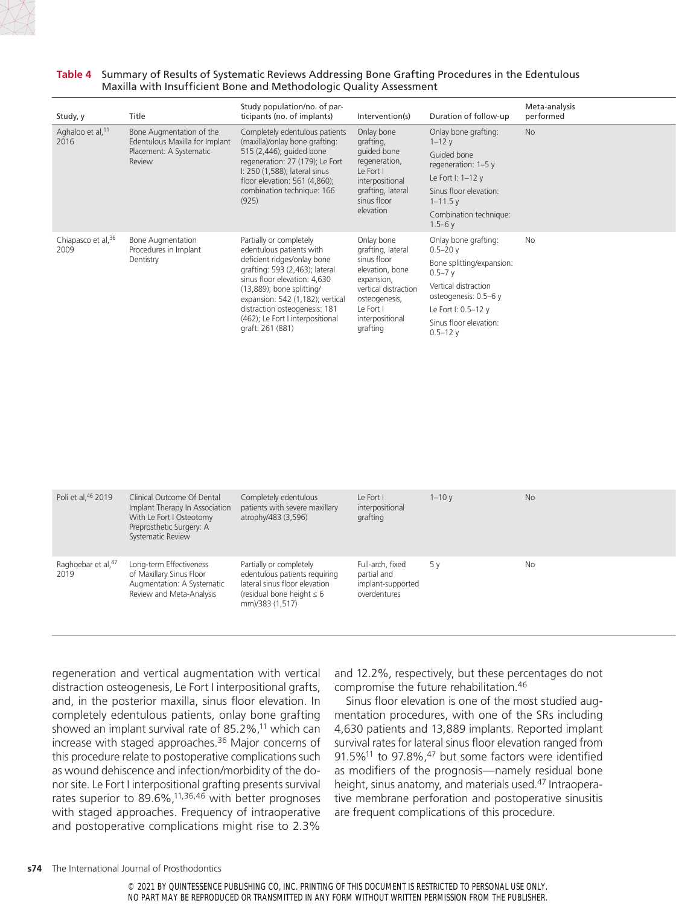**Table 4** Summary of Results of Systematic Reviews Addressing Bone Grafting Procedures in the Edentulous Maxilla with Insufficient Bone and Methodologic Quality Assessment

| Study, y                             | Title                                                                                           | Study population/no. of par-<br>ticipants (no. of implants)                                                                                                                                                                                                                                                    | Intervention(s)                                                                                                                                                      | Duration of follow-up                                                                                                                                                                           | Meta-analysis<br>performed |
|--------------------------------------|-------------------------------------------------------------------------------------------------|----------------------------------------------------------------------------------------------------------------------------------------------------------------------------------------------------------------------------------------------------------------------------------------------------------------|----------------------------------------------------------------------------------------------------------------------------------------------------------------------|-------------------------------------------------------------------------------------------------------------------------------------------------------------------------------------------------|----------------------------|
| Aghaloo et al, <sup>11</sup><br>2016 | Bone Augmentation of the<br>Edentulous Maxilla for Implant<br>Placement: A Systematic<br>Review | Completely edentulous patients<br>(maxilla)/onlay bone grafting:<br>515 (2,446); guided bone<br>regeneration: 27 (179); Le Fort<br>I: 250 (1,588); lateral sinus<br>floor elevation: 561 (4,860);<br>combination technique: 166<br>(925)                                                                       | Onlay bone<br>grafting,<br>guided bone<br>regeneration,<br>Le Fort I<br>interpositional<br>grafting, lateral<br>sinus floor<br>elevation                             | Onlay bone grafting:<br>$1 - 12y$<br>Guided bone<br>regeneration: $1-5y$<br>Le Fort I: $1-12y$<br>Sinus floor elevation:<br>$1 - 11.5$ y<br>Combination technique:<br>$1.5 - 6y$                | No                         |
| Chiapasco et al, 36<br>2009          | <b>Bone Augmentation</b><br>Procedures in Implant<br>Dentistry                                  | Partially or completely<br>edentulous patients with<br>deficient ridges/onlay bone<br>grafting: 593 (2,463); lateral<br>sinus floor elevation: 4,630<br>(13,889); bone splitting/<br>expansion: 542 (1,182); vertical<br>distraction osteogenesis: 181<br>(462); Le Fort I interpositional<br>graft: 261 (881) | Onlay bone<br>grafting, lateral<br>sinus floor<br>elevation, bone<br>expansion,<br>vertical distraction<br>osteogenesis,<br>Le Fort I<br>interpositional<br>grafting | Onlay bone grafting:<br>$0.5 - 20y$<br>Bone splitting/expansion:<br>$0.5 - 7y$<br>Vertical distraction<br>osteogenesis: 0.5-6 y<br>Le Fort I: 0.5-12 y<br>Sinus floor elevation:<br>$0.5 - 12y$ | <b>No</b>                  |

| Poli et al, 46 2019         | Clinical Outcome Of Dental<br>Implant Therapy In Association<br>With Le Fort I Osteotomy<br>Preprosthetic Surgery: A<br>Systematic Review | Completely edentulous<br>patients with severe maxillary<br>atrophy/483 (3,596)                                                                 | Le Fort I<br>interpositional<br>grafting                             | $1 - 10y$ | <b>No</b> |
|-----------------------------|-------------------------------------------------------------------------------------------------------------------------------------------|------------------------------------------------------------------------------------------------------------------------------------------------|----------------------------------------------------------------------|-----------|-----------|
| Raghoebar et al, 47<br>2019 | Long-term Effectiveness<br>of Maxillary Sinus Floor<br>Augmentation: A Systematic<br>Review and Meta-Analysis                             | Partially or completely<br>edentulous patients requiring<br>lateral sinus floor elevation<br>(residual bone height $\leq 6$<br>mm)/383 (1,517) | Full-arch, fixed<br>partial and<br>implant-supported<br>overdentures | 5v        | No        |

regeneration and vertical augmentation with vertical distraction osteogenesis, Le Fort I interpositional grafts, and, in the posterior maxilla, sinus floor elevation. In completely edentulous patients, onlay bone grafting showed an implant survival rate of 85.2%, $11$  which can increase with staged approaches.<sup>36</sup> Major concerns of this procedure relate to postoperative complications such as wound dehiscence and infection/morbidity of the donor site. Le Fort I interpositional grafting presents survival rates superior to 89.6%,<sup>11,36,46</sup> with better prognoses with staged approaches. Frequency of intraoperative and postoperative complications might rise to 2.3%

and 12.2%, respectively, but these percentages do not compromise the future rehabilitation.46

Sinus floor elevation is one of the most studied augmentation procedures, with one of the SRs including 4,630 patients and 13,889 implants. Reported implant survival rates for lateral sinus floor elevation ranged from 91.5% $^{11}$  to 97.8%, $^{47}$  but some factors were identified as modifiers of the prognosis—namely residual bone height, sinus anatomy, and materials used.<sup>47</sup> Intraoperative membrane perforation and postoperative sinusitis are frequent complications of this procedure.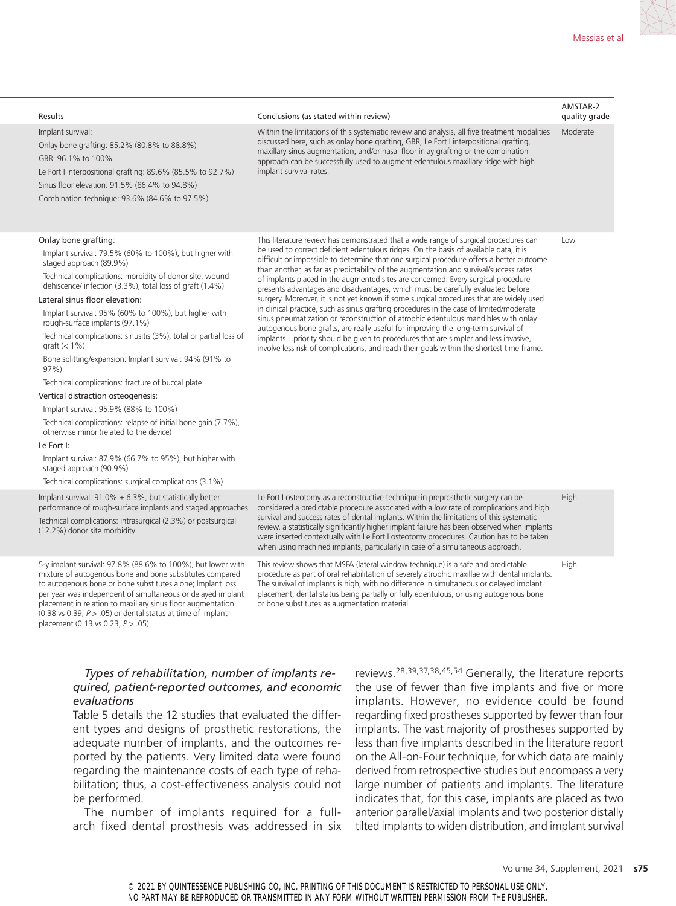| Results                                                                                                                                                                                                                                                                                                                                                                                                                                                                                                                                                                                                                                                                                                                                                                                                                                                                                                                              | Conclusions (as stated within review)                                                                                                                                                                                                                                                                                                                                                                                                                                                                                                                                                                                                                                                                                                                                                                                                                                                                                                                                                                                                                                                          | AMSTAR-2<br>quality grade |
|--------------------------------------------------------------------------------------------------------------------------------------------------------------------------------------------------------------------------------------------------------------------------------------------------------------------------------------------------------------------------------------------------------------------------------------------------------------------------------------------------------------------------------------------------------------------------------------------------------------------------------------------------------------------------------------------------------------------------------------------------------------------------------------------------------------------------------------------------------------------------------------------------------------------------------------|------------------------------------------------------------------------------------------------------------------------------------------------------------------------------------------------------------------------------------------------------------------------------------------------------------------------------------------------------------------------------------------------------------------------------------------------------------------------------------------------------------------------------------------------------------------------------------------------------------------------------------------------------------------------------------------------------------------------------------------------------------------------------------------------------------------------------------------------------------------------------------------------------------------------------------------------------------------------------------------------------------------------------------------------------------------------------------------------|---------------------------|
| Implant survival:<br>Onlay bone grafting: 85.2% (80.8% to 88.8%)<br>GBR: 96.1% to 100%<br>Le Fort I interpositional grafting: 89.6% (85.5% to 92.7%)<br>Sinus floor elevation: 91.5% (86.4% to 94.8%)<br>Combination technique: 93.6% (84.6% to 97.5%)                                                                                                                                                                                                                                                                                                                                                                                                                                                                                                                                                                                                                                                                               | Within the limitations of this systematic review and analysis, all five treatment modalities<br>discussed here, such as onlay bone grafting, GBR, Le Fort I interpositional grafting,<br>maxillary sinus augmentation, and/or nasal floor inlay grafting or the combination<br>approach can be successfully used to augment edentulous maxillary ridge with high<br>implant survival rates.                                                                                                                                                                                                                                                                                                                                                                                                                                                                                                                                                                                                                                                                                                    | Moderate                  |
| Onlay bone grafting:<br>Implant survival: 79.5% (60% to 100%), but higher with<br>staged approach (89.9%)<br>Technical complications: morbidity of donor site, wound<br>dehiscence/ infection (3.3%), total loss of graft (1.4%)<br>Lateral sinus floor elevation:<br>Implant survival: 95% (60% to 100%), but higher with<br>rough-surface implants (97.1%)<br>Technical complications: sinusitis (3%), total or partial loss of<br>graft $(< 1\%)$<br>Bone splitting/expansion: Implant survival: 94% (91% to<br>97%<br>Technical complications: fracture of buccal plate<br>Vertical distraction osteogenesis:<br>Implant survival: 95.9% (88% to 100%)<br>Technical complications: relapse of initial bone gain (7.7%),<br>otherwise minor (related to the device)<br>Le Fort I:<br>Implant survival: 87.9% (66.7% to 95%), but higher with<br>staged approach (90.9%)<br>Technical complications: surgical complications (3.1%) | This literature review has demonstrated that a wide range of surgical procedures can<br>be used to correct deficient edentulous ridges. On the basis of available data, it is<br>difficult or impossible to determine that one surgical procedure offers a better outcome<br>than another, as far as predictability of the augmentation and survival/success rates<br>of implants placed in the augmented sites are concerned. Every surgical procedure<br>presents advantages and disadvantages, which must be carefully evaluated before<br>surgery. Moreover, it is not yet known if some surgical procedures that are widely used<br>in clinical practice, such as sinus grafting procedures in the case of limited/moderate<br>sinus pneumatization or reconstruction of atrophic edentulous mandibles with onlay<br>autogenous bone grafts, are really useful for improving the long-term survival of<br>implantspriority should be given to procedures that are simpler and less invasive,<br>involve less risk of complications, and reach their goals within the shortest time frame. | Low                       |
| Implant survival: $91.0\% \pm 6.3\%$ , but statistically better<br>performance of rough-surface implants and staged approaches<br>Technical complications: intrasurgical (2.3%) or postsurgical<br>(12.2%) donor site morbidity                                                                                                                                                                                                                                                                                                                                                                                                                                                                                                                                                                                                                                                                                                      | Le Fort I osteotomy as a reconstructive technique in preprosthetic surgery can be<br>considered a predictable procedure associated with a low rate of complications and high<br>survival and success rates of dental implants. Within the limitations of this systematic<br>review, a statistically significantly higher implant failure has been observed when implants<br>were inserted contextually with Le Fort I osteotomy procedures. Caution has to be taken<br>when using machined implants, particularly in case of a simultaneous approach.                                                                                                                                                                                                                                                                                                                                                                                                                                                                                                                                          | High                      |
| 5-y implant survival: 97.8% (88.6% to 100%), but lower with<br>mixture of autogenous bone and bone substitutes compared<br>to autogenous bone or bone substitutes alone; Implant loss<br>per year was independent of simultaneous or delayed implant<br>placement in relation to maxillary sinus floor augmentation<br>$(0.38 \text{ vs } 0.39, P > .05)$ or dental status at time of implant<br>placement $(0.13 \text{ vs } 0.23, P > .05)$                                                                                                                                                                                                                                                                                                                                                                                                                                                                                        | This review shows that MSFA (lateral window technique) is a safe and predictable<br>procedure as part of oral rehabilitation of severely atrophic maxillae with dental implants.<br>The survival of implants is high, with no difference in simultaneous or delayed implant<br>placement, dental status being partially or fully edentulous, or using autogenous bone<br>or bone substitutes as augmentation material.                                                                                                                                                                                                                                                                                                                                                                                                                                                                                                                                                                                                                                                                         | High                      |

### *Types of rehabilitation, number of implants required, patient-reported outcomes, and economic evaluations*

Table 5 details the 12 studies that evaluated the different types and designs of prosthetic restorations, the adequate number of implants, and the outcomes reported by the patients. Very limited data were found regarding the maintenance costs of each type of rehabilitation; thus, a cost-effectiveness analysis could not be performed.

The number of implants required for a fullarch fixed dental prosthesis was addressed in six reviews.28,39,37,38,45,54 Generally, the literature reports the use of fewer than five implants and five or more implants. However, no evidence could be found regarding fixed prostheses supported by fewer than four implants. The vast majority of prostheses supported by less than five implants described in the literature report on the All-on-Four technique, for which data are mainly derived from retrospective studies but encompass a very large number of patients and implants. The literature indicates that, for this case, implants are placed as two anterior parallel/axial implants and two posterior distally tilted implants to widen distribution, and implant survival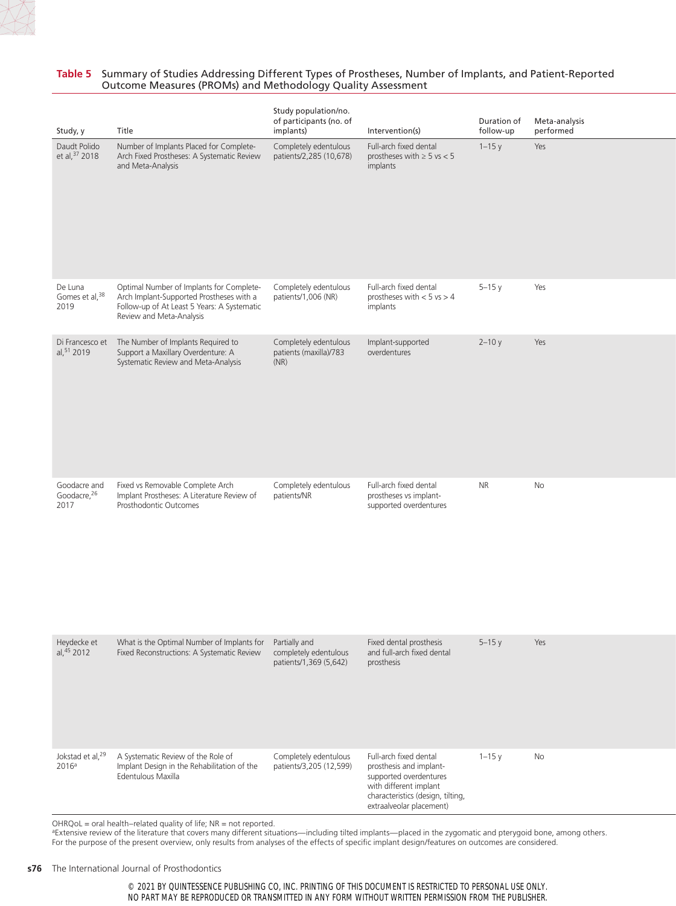#### **Table 5** Summary of Studies Addressing Different Types of Prostheses, Number of Implants, and Patient-Reported Outcome Measures (PROMs) and Methodology Quality Assessment

| Study, y                              | Title                                                                                                                                                           | Study population/no.<br>of participants (no. of<br>implants)     | Intervention(s)                                                                                                                                                        | Duration of<br>follow-up | Meta-analysis<br>performed |
|---------------------------------------|-----------------------------------------------------------------------------------------------------------------------------------------------------------------|------------------------------------------------------------------|------------------------------------------------------------------------------------------------------------------------------------------------------------------------|--------------------------|----------------------------|
| Daudt Polido<br>et al, 37 2018        | Number of Implants Placed for Complete-<br>Arch Fixed Prostheses: A Systematic Review<br>and Meta-Analysis                                                      | Completely edentulous<br>patients/2,285 (10,678)                 | Full-arch fixed dental<br>prostheses with $\geq 5$ vs < 5<br>implants                                                                                                  | $1 - 15y$                | Yes                        |
| De Luna<br>Gomes et al, 38<br>2019    | Optimal Number of Implants for Complete-<br>Arch Implant-Supported Prostheses with a<br>Follow-up of At Least 5 Years: A Systematic<br>Review and Meta-Analysis | Completely edentulous<br>patients/1,006 (NR)                     | Full-arch fixed dental<br>prostheses with $< 5$ vs $> 4$<br>implants                                                                                                   | $5-15y$                  | Yes                        |
| al, 51 2019                           | Di Francesco et The Number of Implants Required to<br>Support a Maxillary Overdenture: A<br>Systematic Review and Meta-Analysis                                 | Completely edentulous<br>patients (maxilla)/783<br>(NR)          | Implant-supported<br>overdentures                                                                                                                                      | $2 - 10y$                | Yes                        |
| Goodacre and<br>Goodacre, 26<br>2017  | Fixed vs Removable Complete Arch<br>Implant Prostheses: A Literature Review of<br>Prosthodontic Outcomes                                                        | Completely edentulous<br>patients/NR                             | Full-arch fixed dental<br>prostheses vs implant-<br>supported overdentures                                                                                             | <b>NR</b>                | No                         |
| Heydecke et<br>al, $45$ 2012          | What is the Optimal Number of Implants for<br>Fixed Reconstructions: A Systematic Review                                                                        | Partially and<br>completely edentulous<br>patients/1,369 (5,642) | Fixed dental prosthesis<br>and full-arch fixed dental<br>prosthesis                                                                                                    | $5 - 15y$                | Yes                        |
| Jokstad et al, <sup>29</sup><br>2016a | A Systematic Review of the Role of<br>Implant Design in the Rehabilitation of the<br>Edentulous Maxilla                                                         | Completely edentulous<br>patients/3,205 (12,599)                 | Full-arch fixed dental<br>prosthesis and implant-<br>supported overdentures<br>with different implant<br>characteristics (design, tilting,<br>extraalveolar placement) | $1 - 15y$                | No                         |

 $OHRQoL = oral health–related quality of life; NR = not reported.$ 

aExtensive review of the literature that covers many different situations—including tilted implants—placed in the zygomatic and pterygoid bone, among others. For the purpose of the present overview, only results from analyses of the effects of specific implant design/features on outcomes are considered.

#### **s76** The International Journal of Prosthodontics

© 2021 BY QUINTESSENCE PUBLISHING CO, INC. PRINTING OF THIS DOCUMENT IS RESTRICTED TO PERSONAL USE ONLY. NO PART MAY BE REPRODUCED OR TRANSMITTED IN ANY FORM WITHOUT WRITTEN PERMISSION FROM THE PUBLISHER.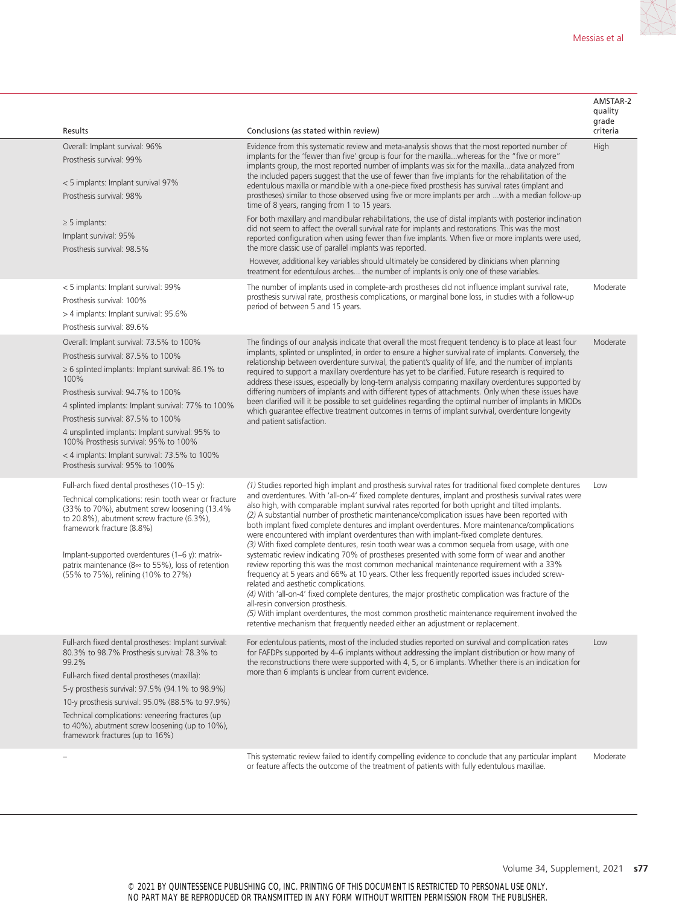| Results                                                                                                                                                                                                                                                                                                                                                                                                                                                             | Conclusions (as stated within review)                                                                                                                                                                                                                                                                                                                                                                                                                                                                                                                                                                                                                                                                                                                                                                                                                                                                                                                                                                                                                                                                                                                                                                                                                                                                                                                                                | AMSTAR-2<br>quality<br>grade<br>criteria |
|---------------------------------------------------------------------------------------------------------------------------------------------------------------------------------------------------------------------------------------------------------------------------------------------------------------------------------------------------------------------------------------------------------------------------------------------------------------------|--------------------------------------------------------------------------------------------------------------------------------------------------------------------------------------------------------------------------------------------------------------------------------------------------------------------------------------------------------------------------------------------------------------------------------------------------------------------------------------------------------------------------------------------------------------------------------------------------------------------------------------------------------------------------------------------------------------------------------------------------------------------------------------------------------------------------------------------------------------------------------------------------------------------------------------------------------------------------------------------------------------------------------------------------------------------------------------------------------------------------------------------------------------------------------------------------------------------------------------------------------------------------------------------------------------------------------------------------------------------------------------|------------------------------------------|
| Overall: Implant survival: 96%<br>Prosthesis survival: 99%<br>< 5 implants: Implant survival 97%<br>Prosthesis survival: 98%                                                                                                                                                                                                                                                                                                                                        | Evidence from this systematic review and meta-analysis shows that the most reported number of<br>implants for the 'fewer than five' group is four for the maxillawhereas for the "five or more"<br>implants group, the most reported number of implants was six for the maxilladata analyzed from<br>the included papers suggest that the use of fewer than five implants for the rehabilitation of the<br>edentulous maxilla or mandible with a one-piece fixed prosthesis has survival rates (implant and<br>prostheses) similar to those observed using five or more implants per arch  with a median follow-up<br>time of 8 years, ranging from 1 to 15 years.                                                                                                                                                                                                                                                                                                                                                                                                                                                                                                                                                                                                                                                                                                                   | High                                     |
| $\geq$ 5 implants:<br>Implant survival: 95%<br>Prosthesis survival: 98.5%                                                                                                                                                                                                                                                                                                                                                                                           | For both maxillary and mandibular rehabilitations, the use of distal implants with posterior inclination<br>did not seem to affect the overall survival rate for implants and restorations. This was the most<br>reported configuration when using fewer than five implants. When five or more implants were used,<br>the more classic use of parallel implants was reported.<br>However, additional key variables should ultimately be considered by clinicians when planning                                                                                                                                                                                                                                                                                                                                                                                                                                                                                                                                                                                                                                                                                                                                                                                                                                                                                                       |                                          |
| < 5 implants: Implant survival: 99%<br>Prosthesis survival: 100%<br>> 4 implants: Implant survival: 95.6%<br>Prosthesis survival: 89.6%                                                                                                                                                                                                                                                                                                                             | treatment for edentulous arches the number of implants is only one of these variables.<br>The number of implants used in complete-arch prostheses did not influence implant survival rate,<br>prosthesis survival rate, prosthesis complications, or marginal bone loss, in studies with a follow-up<br>period of between 5 and 15 years.                                                                                                                                                                                                                                                                                                                                                                                                                                                                                                                                                                                                                                                                                                                                                                                                                                                                                                                                                                                                                                            | Moderate                                 |
| Overall: Implant survival: 73.5% to 100%<br>Prosthesis survival: 87.5% to 100%<br>$\geq$ 6 splinted implants: Implant survival: 86.1% to<br>100%<br>Prosthesis survival: 94.7% to 100%<br>4 splinted implants: Implant survival: 77% to 100%<br>Prosthesis survival: 87.5% to 100%<br>4 unsplinted implants: Implant survival: 95% to<br>100% Prosthesis survival: 95% to 100%<br>< 4 implants: Implant survival: 73.5% to 100%<br>Prosthesis survival: 95% to 100% | The findings of our analysis indicate that overall the most frequent tendency is to place at least four<br>implants, splinted or unsplinted, in order to ensure a higher survival rate of implants. Conversely, the<br>relationship between overdenture survival, the patient's quality of life, and the number of implants<br>required to support a maxillary overdenture has yet to be clarified. Future research is required to<br>address these issues, especially by long-term analysis comparing maxillary overdentures supported by<br>differing numbers of implants and with different types of attachments. Only when these issues have<br>been clarified will it be possible to set quidelines regarding the optimal number of implants in MIODs<br>which quarantee effective treatment outcomes in terms of implant survival, overdenture longevity<br>and patient satisfaction.                                                                                                                                                                                                                                                                                                                                                                                                                                                                                          | Moderate                                 |
| Full-arch fixed dental prostheses (10–15 y):<br>Technical complications: resin tooth wear or fracture<br>(33% to 70%), abutment screw loosening (13.4%<br>to 20.8%), abutment screw fracture (6.3%),<br>framework fracture (8.8%)<br>Implant-supported overdentures $(1-6 \gamma)$ : matrix-<br>patrix maintenance ( $8 \approx$ to 55%), loss of retention<br>(55% to 75%), relining (10% to 27%)                                                                  | (1) Studies reported high implant and prosthesis survival rates for traditional fixed complete dentures<br>and overdentures. With 'all-on-4' fixed complete dentures, implant and prosthesis survival rates were<br>also high, with comparable implant survival rates reported for both upright and tilted implants.<br>(2) A substantial number of prosthetic maintenance/complication issues have been reported with<br>both implant fixed complete dentures and implant overdentures. More maintenance/complications<br>were encountered with implant overdentures than with implant-fixed complete dentures.<br>(3) With fixed complete dentures, resin tooth wear was a common sequela from usage, with one<br>systematic review indicating 70% of prostheses presented with some form of wear and another<br>review reporting this was the most common mechanical maintenance requirement with a 33%<br>frequency at 5 years and 66% at 10 years. Other less frequently reported issues included screw-<br>related and aesthetic complications.<br>(4) With 'all-on-4' fixed complete dentures, the major prosthetic complication was fracture of the<br>all-resin conversion prosthesis.<br>(5) With implant overdentures, the most common prosthetic maintenance requirement involved the<br>retentive mechanism that frequently needed either an adjustment or replacement. | Low                                      |
| Full-arch fixed dental prostheses: Implant survival:<br>80.3% to 98.7% Prosthesis survival: 78.3% to<br>99.2%<br>Full-arch fixed dental prostheses (maxilla):<br>5-y prosthesis survival: 97.5% (94.1% to 98.9%)<br>10-y prosthesis survival: 95.0% (88.5% to 97.9%)<br>Technical complications: veneering fractures (up<br>to 40%), abutment screw loosening (up to 10%),<br>framework fractures (up to 16%)                                                       | For edentulous patients, most of the included studies reported on survival and complication rates<br>for FAFDPs supported by 4–6 implants without addressing the implant distribution or how many of<br>the reconstructions there were supported with 4, 5, or 6 implants. Whether there is an indication for<br>more than 6 implants is unclear from current evidence.                                                                                                                                                                                                                                                                                                                                                                                                                                                                                                                                                                                                                                                                                                                                                                                                                                                                                                                                                                                                              | Low                                      |
|                                                                                                                                                                                                                                                                                                                                                                                                                                                                     | This systematic review failed to identify compelling evidence to conclude that any particular implant                                                                                                                                                                                                                                                                                                                                                                                                                                                                                                                                                                                                                                                                                                                                                                                                                                                                                                                                                                                                                                                                                                                                                                                                                                                                                | Moderate                                 |

or feature affects the outcome of the treatment of patients with fully edentulous maxillae. Moderate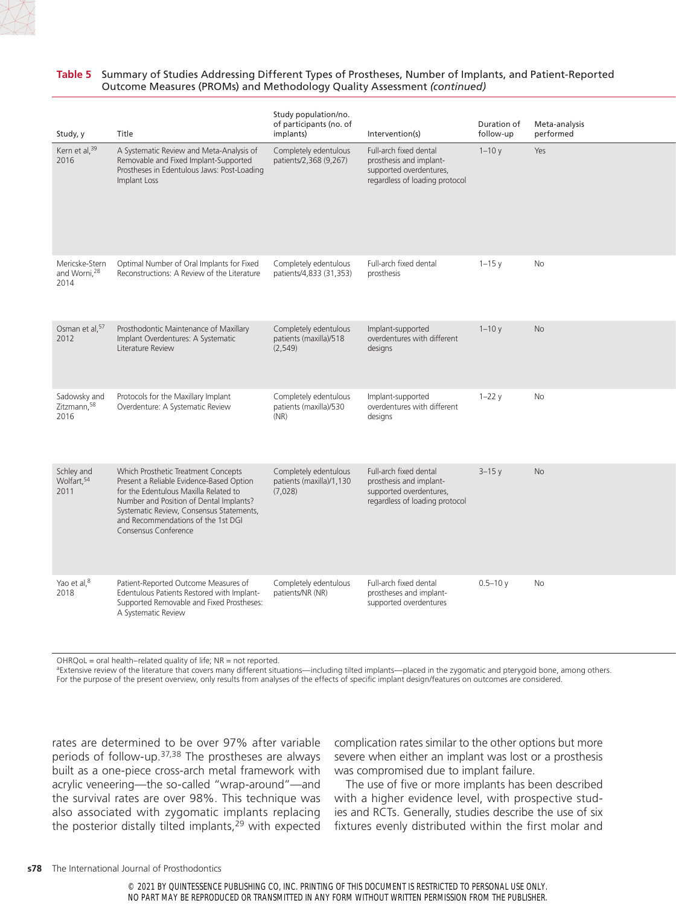

#### **Table 5** Summary of Studies Addressing Different Types of Prostheses, Number of Implants, and Patient-Reported Outcome Measures (PROMs) and Methodology Quality Assessment *(continued)*

| Study, y                                           | Title                                                                                                                                                                                                                                                                         | Study population/no.<br>of participants (no. of<br>implants) | Intervention(s)                                                                                                | Duration of<br>follow-up | Meta-analysis<br>performed |
|----------------------------------------------------|-------------------------------------------------------------------------------------------------------------------------------------------------------------------------------------------------------------------------------------------------------------------------------|--------------------------------------------------------------|----------------------------------------------------------------------------------------------------------------|--------------------------|----------------------------|
| Kern et al, 39<br>2016                             | A Systematic Review and Meta-Analysis of<br>Removable and Fixed Implant-Supported<br>Prostheses in Edentulous Jaws: Post-Loading<br>Implant Loss                                                                                                                              | Completely edentulous<br>patients/2,368 (9,267)              | Full-arch fixed dental<br>prosthesis and implant-<br>supported overdentures,<br>regardless of loading protocol | $1 - 10y$                | Yes                        |
| Mericske-Stern<br>and Worni, <sup>28</sup><br>2014 | Optimal Number of Oral Implants for Fixed<br>Reconstructions: A Review of the Literature                                                                                                                                                                                      | Completely edentulous<br>patients/4,833 (31,353)             | Full-arch fixed dental<br>prosthesis                                                                           | $1 - 15y$                | No                         |
| Osman et al, 57<br>2012                            | Prosthodontic Maintenance of Maxillary<br>Implant Overdentures: A Systematic<br>Literature Review                                                                                                                                                                             | Completely edentulous<br>patients (maxilla)/518<br>(2,549)   | Implant-supported<br>overdentures with different<br>designs                                                    | $1 - 10y$                | <b>No</b>                  |
| Sadowsky and<br>Zitzmann, 58<br>2016               | Protocols for the Maxillary Implant<br>Overdenture: A Systematic Review                                                                                                                                                                                                       | Completely edentulous<br>patients (maxilla)/530<br>(NR)      | Implant-supported<br>overdentures with different<br>designs                                                    | $1-22y$                  | No                         |
| Schley and<br>Wolfart, 54<br>2011                  | Which Prosthetic Treatment Concepts<br>Present a Reliable Evidence-Based Option<br>for the Edentulous Maxilla Related to<br>Number and Position of Dental Implants?<br>Systematic Review, Consensus Statements,<br>and Recommendations of the 1st DGI<br>Consensus Conference | Completely edentulous<br>patients (maxilla)/1,130<br>(7,028) | Full-arch fixed dental<br>prosthesis and implant-<br>supported overdentures,<br>regardless of loading protocol | $3 - 15y$                | <b>No</b>                  |
| Yao et al, 8<br>2018                               | Patient-Reported Outcome Measures of<br>Edentulous Patients Restored with Implant-<br>Supported Removable and Fixed Prostheses:<br>A Systematic Review                                                                                                                        | Completely edentulous<br>patients/NR (NR)                    | Full-arch fixed dental<br>prostheses and implant-<br>supported overdentures                                    | $0.5 - 10y$              | No                         |

 $OHRQoL = oral health–related quality of life; NR = not reported.$ 

aExtensive review of the literature that covers many different situations—including tilted implants—placed in the zygomatic and pterygoid bone, among others. For the purpose of the present overview, only results from analyses of the effects of specific implant design/features on outcomes are considered.

rates are determined to be over 97% after variable periods of follow-up.37,38 The prostheses are always built as a one-piece cross-arch metal framework with acrylic veneering—the so-called "wrap-around"—and the survival rates are over 98%. This technique was also associated with zygomatic implants replacing the posterior distally tilted implants,<sup>29</sup> with expected complication rates similar to the other options but more severe when either an implant was lost or a prosthesis was compromised due to implant failure.

The use of five or more implants has been described with a higher evidence level, with prospective studies and RCTs. Generally, studies describe the use of six fixtures evenly distributed within the first molar and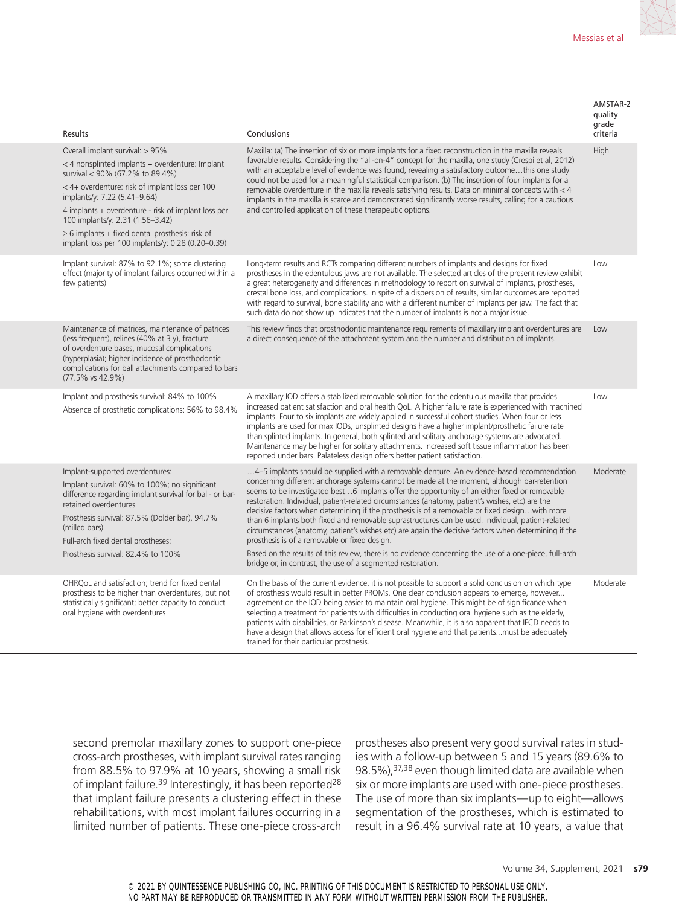| Results                                                                                                                                |                                                                                                                                                                                                                                                                       | Conclusions                                                                                                                                                                                                                                                                                                                                                                                                                                                                                                                                                                                                                                                                                                                                                                                                                                                                                                                            | AMSTAR-2<br>quality<br>grade<br>criteria |
|----------------------------------------------------------------------------------------------------------------------------------------|-----------------------------------------------------------------------------------------------------------------------------------------------------------------------------------------------------------------------------------------------------------------------|----------------------------------------------------------------------------------------------------------------------------------------------------------------------------------------------------------------------------------------------------------------------------------------------------------------------------------------------------------------------------------------------------------------------------------------------------------------------------------------------------------------------------------------------------------------------------------------------------------------------------------------------------------------------------------------------------------------------------------------------------------------------------------------------------------------------------------------------------------------------------------------------------------------------------------------|------------------------------------------|
| Overall implant survival: > 95%<br>survival < 90% (67.2% to 89.4%)<br>implants/y: 7.22 (5.41-9.64)<br>100 implants/y: 2.31 (1.56-3.42) | < 4 nonsplinted implants + overdenture: Implant<br>< 4+ overdenture: risk of implant loss per 100<br>4 implants + overdenture - risk of implant loss per<br>$\geq$ 6 implants + fixed dental prosthesis: risk of<br>implant loss per 100 implants/y: 0.28 (0.20-0.39) | Maxilla: (a) The insertion of six or more implants for a fixed reconstruction in the maxilla reveals<br>favorable results. Considering the "all-on-4" concept for the maxilla, one study (Crespi et al, 2012)<br>with an acceptable level of evidence was found, revealing a satisfactory outcomethis one study<br>could not be used for a meaningful statistical comparison. (b) The insertion of four implants for a<br>removable overdenture in the maxilla reveals satisfying results. Data on minimal concepts with $<$ 4<br>implants in the maxilla is scarce and demonstrated significantly worse results, calling for a cautious<br>and controlled application of these therapeutic options.                                                                                                                                                                                                                                   | High                                     |
| few patients)                                                                                                                          | Implant survival: 87% to 92.1%; some clustering<br>effect (majority of implant failures occurred within a                                                                                                                                                             | Long-term results and RCTs comparing different numbers of implants and designs for fixed<br>prostheses in the edentulous jaws are not available. The selected articles of the present review exhibit<br>a great heterogeneity and differences in methodology to report on survival of implants, prostheses,<br>crestal bone loss, and complications. In spite of a dispersion of results, similar outcomes are reported<br>with regard to survival, bone stability and with a different number of implants per jaw. The fact that<br>such data do not show up indicates that the number of implants is not a major issue.                                                                                                                                                                                                                                                                                                              | Low                                      |
| $(77.5\% \text{ vs } 42.9\%)$                                                                                                          | Maintenance of matrices, maintenance of patrices<br>(less frequent), relines (40% at 3 y), fracture<br>of overdenture bases, mucosal complications<br>(hyperplasia); higher incidence of prosthodontic<br>complications for ball attachments compared to bars         | This review finds that prosthodontic maintenance requirements of maxillary implant overdentures are<br>a direct consequence of the attachment system and the number and distribution of implants.                                                                                                                                                                                                                                                                                                                                                                                                                                                                                                                                                                                                                                                                                                                                      | Low                                      |
|                                                                                                                                        | Implant and prosthesis survival: 84% to 100%<br>Absence of prosthetic complications: 56% to 98.4%                                                                                                                                                                     | A maxillary IOD offers a stabilized removable solution for the edentulous maxilla that provides<br>increased patient satisfaction and oral health QoL. A higher failure rate is experienced with machined<br>implants. Four to six implants are widely applied in successful cohort studies. When four or less<br>implants are used for max IODs, unsplinted designs have a higher implant/prosthetic failure rate<br>than splinted implants. In general, both splinted and solitary anchorage systems are advocated.<br>Maintenance may be higher for solitary attachments. Increased soft tissue inflammation has been<br>reported under bars. Palateless design offers better patient satisfaction.                                                                                                                                                                                                                                 | Low                                      |
| Implant-supported overdentures:<br>retained overdentures<br>(milled bars)<br>Full-arch fixed dental prostheses:                        | Implant survival: 60% to 100%; no significant<br>difference regarding implant survival for ball- or bar-<br>Prosthesis survival: 87.5% (Dolder bar), 94.7%<br>Prosthesis survival: 82.4% to 100%                                                                      | 4–5 implants should be supplied with a removable denture. An evidence-based recommendation<br>concerning different anchorage systems cannot be made at the moment, although bar-retention<br>seems to be investigated best6 implants offer the opportunity of an either fixed or removable<br>restoration. Individual, patient-related circumstances (anatomy, patient's wishes, etc) are the<br>decisive factors when determining if the prosthesis is of a removable or fixed designwith more<br>than 6 implants both fixed and removable suprastructures can be used. Individual, patient-related<br>circumstances (anatomy, patient's wishes etc) are again the decisive factors when determining if the<br>prosthesis is of a removable or fixed design.<br>Based on the results of this review, there is no evidence concerning the use of a one-piece, full-arch<br>bridge or, in contrast, the use of a segmented restoration. | Moderate                                 |
| oral hygiene with overdentures                                                                                                         | OHRQoL and satisfaction; trend for fixed dental<br>prosthesis to be higher than overdentures, but not<br>statistically significant; better capacity to conduct                                                                                                        | On the basis of the current evidence, it is not possible to support a solid conclusion on which type<br>of prosthesis would result in better PROMs. One clear conclusion appears to emerge, however<br>agreement on the IOD being easier to maintain oral hygiene. This might be of significance when<br>selecting a treatment for patients with difficulties in conducting oral hygiene such as the elderly,<br>patients with disabilities, or Parkinson's disease. Meanwhile, it is also apparent that IFCD needs to<br>have a design that allows access for efficient oral hygiene and that patientsmust be adequately<br>trained for their particular prosthesis.                                                                                                                                                                                                                                                                  | Moderate                                 |

second premolar maxillary zones to support one-piece cross-arch prostheses, with implant survival rates ranging from 88.5% to 97.9% at 10 years, showing a small risk of implant failure.<sup>39</sup> Interestingly, it has been reported<sup>28</sup> that implant failure presents a clustering effect in these rehabilitations, with most implant failures occurring in a limited number of patients. These one-piece cross-arch prostheses also present very good survival rates in studies with a follow-up between 5 and 15 years (89.6% to 98.5%),<sup>37,38</sup> even though limited data are available when six or more implants are used with one-piece prostheses. The use of more than six implants—up to eight—allows segmentation of the prostheses, which is estimated to result in a 96.4% survival rate at 10 years, a value that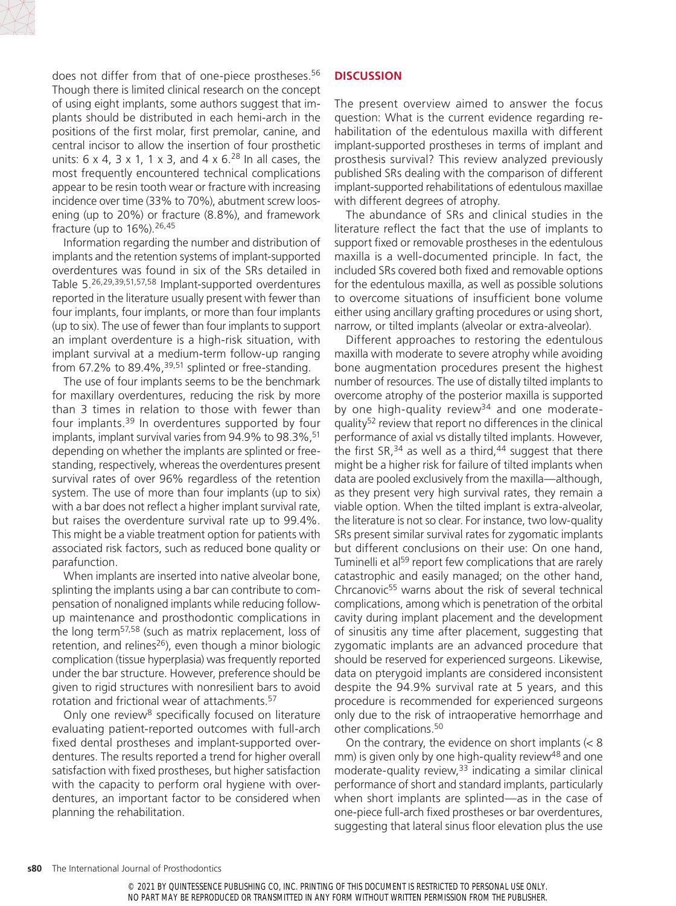

does not differ from that of one-piece prostheses.<sup>56</sup> Though there is limited clinical research on the concept of using eight implants, some authors suggest that implants should be distributed in each hemi-arch in the positions of the first molar, first premolar, canine, and central incisor to allow the insertion of four prosthetic units:  $6 \times 4$ ,  $3 \times 1$ ,  $1 \times 3$ , and  $4 \times 6$ .<sup>28</sup> In all cases, the most frequently encountered technical complications appear to be resin tooth wear or fracture with increasing incidence over time (33% to 70%), abutment screw loosening (up to 20%) or fracture (8.8%), and framework fracture (up to  $16\%$ ).  $26,45$ 

Information regarding the number and distribution of implants and the retention systems of implant-supported overdentures was found in six of the SRs detailed in Table 5.26,29,39,51,57,58 Implant-supported overdentures reported in the literature usually present with fewer than four implants, four implants, or more than four implants (up to six). The use of fewer than four implants to support an implant overdenture is a high-risk situation, with implant survival at a medium-term follow-up ranging from 67.2% to 89.4%, $39.51$  splinted or free-standing.

The use of four implants seems to be the benchmark for maxillary overdentures, reducing the risk by more than 3 times in relation to those with fewer than four implants.<sup>39</sup> In overdentures supported by four implants, implant survival varies from 94.9% to 98.3%,<sup>51</sup> depending on whether the implants are splinted or freestanding, respectively, whereas the overdentures present survival rates of over 96% regardless of the retention system. The use of more than four implants (up to six) with a bar does not reflect a higher implant survival rate, but raises the overdenture survival rate up to 99.4%. This might be a viable treatment option for patients with associated risk factors, such as reduced bone quality or parafunction.

When implants are inserted into native alveolar bone, splinting the implants using a bar can contribute to compensation of nonaligned implants while reducing followup maintenance and prosthodontic complications in the long term<sup>57,58</sup> (such as matrix replacement, loss of retention, and relines<sup>26</sup>), even though a minor biologic complication (tissue hyperplasia) was frequently reported under the bar structure. However, preference should be given to rigid structures with nonresilient bars to avoid rotation and frictional wear of attachments.57

Only one review<sup>8</sup> specifically focused on literature evaluating patient-reported outcomes with full-arch fixed dental prostheses and implant-supported overdentures. The results reported a trend for higher overall satisfaction with fixed prostheses, but higher satisfaction with the capacity to perform oral hygiene with overdentures, an important factor to be considered when planning the rehabilitation.

### **DISCUSSION**

The present overview aimed to answer the focus question: What is the current evidence regarding rehabilitation of the edentulous maxilla with different implant-supported prostheses in terms of implant and prosthesis survival? This review analyzed previously published SRs dealing with the comparison of different implant-supported rehabilitations of edentulous maxillae with different degrees of atrophy.

The abundance of SRs and clinical studies in the literature reflect the fact that the use of implants to support fixed or removable prostheses in the edentulous maxilla is a well-documented principle. In fact, the included SRs covered both fixed and removable options for the edentulous maxilla, as well as possible solutions to overcome situations of insufficient bone volume either using ancillary grafting procedures or using short, narrow, or tilted implants (alveolar or extra-alveolar).

Different approaches to restoring the edentulous maxilla with moderate to severe atrophy while avoiding bone augmentation procedures present the highest number of resources. The use of distally tilted implants to overcome atrophy of the posterior maxilla is supported by one high-quality review<sup>34</sup> and one moderatequality52 review that report no differences in the clinical performance of axial vs distally tilted implants. However, the first  $SR<sub>1</sub><sup>34</sup>$  as well as a third,<sup>44</sup> suggest that there might be a higher risk for failure of tilted implants when data are pooled exclusively from the maxilla—although, as they present very high survival rates, they remain a viable option. When the tilted implant is extra-alveolar, the literature is not so clear. For instance, two low-quality SRs present similar survival rates for zygomatic implants but different conclusions on their use: On one hand, Tuminelli et al<sup>59</sup> report few complications that are rarely catastrophic and easily managed; on the other hand, Chrcanovic55 warns about the risk of several technical complications, among which is penetration of the orbital cavity during implant placement and the development of sinusitis any time after placement, suggesting that zygomatic implants are an advanced procedure that should be reserved for experienced surgeons. Likewise, data on pterygoid implants are considered inconsistent despite the 94.9% survival rate at 5 years, and this procedure is recommended for experienced surgeons only due to the risk of intraoperative hemorrhage and other complications.50

On the contrary, the evidence on short implants (< 8 mm) is given only by one high-quality review<sup>48</sup> and one moderate-quality review, $33$  indicating a similar clinical performance of short and standard implants, particularly when short implants are splinted—as in the case of one-piece full-arch fixed prostheses or bar overdentures, suggesting that lateral sinus floor elevation plus the use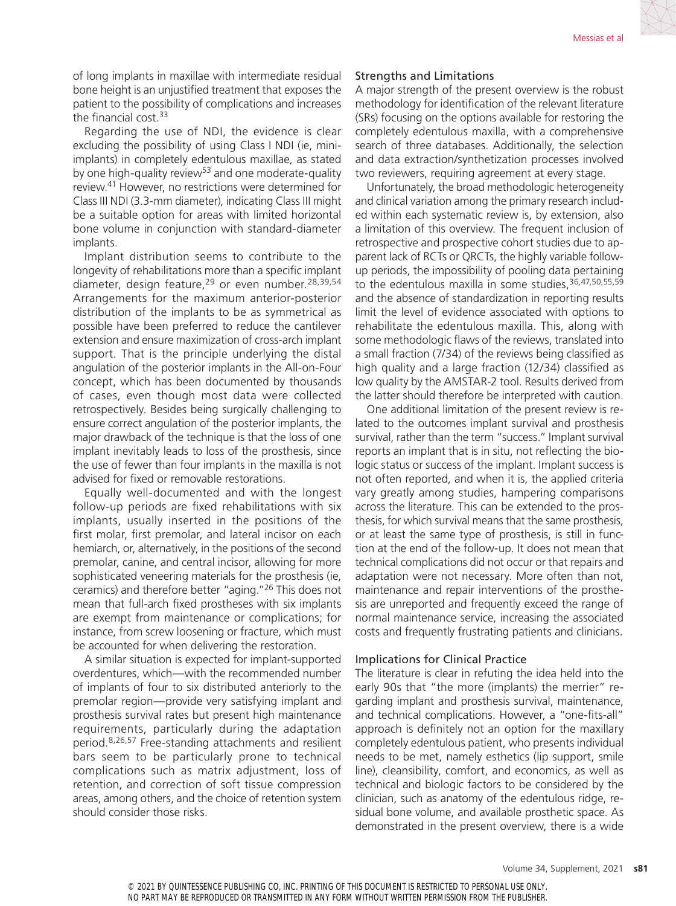of long implants in maxillae with intermediate residual bone height is an unjustified treatment that exposes the patient to the possibility of complications and increases the financial cost.33

Regarding the use of NDI, the evidence is clear excluding the possibility of using Class I NDI (ie, miniimplants) in completely edentulous maxillae, as stated by one high-quality review<sup>53</sup> and one moderate-quality review.41 However, no restrictions were determined for Class III NDI (3.3-mm diameter), indicating Class III might be a suitable option for areas with limited horizontal bone volume in conjunction with standard-diameter implants.

Implant distribution seems to contribute to the longevity of rehabilitations more than a specific implant diameter, design feature,<sup>29</sup> or even number.<sup>28,39,54</sup> Arrangements for the maximum anterior-posterior distribution of the implants to be as symmetrical as possible have been preferred to reduce the cantilever extension and ensure maximization of cross-arch implant support. That is the principle underlying the distal angulation of the posterior implants in the All-on-Four concept, which has been documented by thousands of cases, even though most data were collected retrospectively. Besides being surgically challenging to ensure correct angulation of the posterior implants, the major drawback of the technique is that the loss of one implant inevitably leads to loss of the prosthesis, since the use of fewer than four implants in the maxilla is not advised for fixed or removable restorations.

Equally well-documented and with the longest follow-up periods are fixed rehabilitations with six implants, usually inserted in the positions of the first molar, first premolar, and lateral incisor on each hemiarch, or, alternatively, in the positions of the second premolar, canine, and central incisor, allowing for more sophisticated veneering materials for the prosthesis (ie, ceramics) and therefore better "aging."26 This does not mean that full-arch fixed prostheses with six implants are exempt from maintenance or complications; for instance, from screw loosening or fracture, which must be accounted for when delivering the restoration.

A similar situation is expected for implant-supported overdentures, which—with the recommended number of implants of four to six distributed anteriorly to the premolar region—provide very satisfying implant and prosthesis survival rates but present high maintenance requirements, particularly during the adaptation period.8,26,57 Free-standing attachments and resilient bars seem to be particularly prone to technical complications such as matrix adjustment, loss of retention, and correction of soft tissue compression areas, among others, and the choice of retention system should consider those risks.

#### Strengths and Limitations

A major strength of the present overview is the robust methodology for identification of the relevant literature (SRs) focusing on the options available for restoring the completely edentulous maxilla, with a comprehensive search of three databases. Additionally, the selection and data extraction/synthetization processes involved two reviewers, requiring agreement at every stage.

Unfortunately, the broad methodologic heterogeneity and clinical variation among the primary research included within each systematic review is, by extension, also a limitation of this overview. The frequent inclusion of retrospective and prospective cohort studies due to apparent lack of RCTs or QRCTs, the highly variable followup periods, the impossibility of pooling data pertaining to the edentulous maxilla in some studies.<sup>36,47,50,55,59</sup> and the absence of standardization in reporting results limit the level of evidence associated with options to rehabilitate the edentulous maxilla. This, along with some methodologic flaws of the reviews, translated into a small fraction (7/34) of the reviews being classified as high quality and a large fraction (12/34) classified as low quality by the AMSTAR-2 tool. Results derived from the latter should therefore be interpreted with caution.

One additional limitation of the present review is related to the outcomes implant survival and prosthesis survival, rather than the term "success." Implant survival reports an implant that is in situ, not reflecting the biologic status or success of the implant. Implant success is not often reported, and when it is, the applied criteria vary greatly among studies, hampering comparisons across the literature. This can be extended to the prosthesis, for which survival means that the same prosthesis, or at least the same type of prosthesis, is still in function at the end of the follow-up. It does not mean that technical complications did not occur or that repairs and adaptation were not necessary. More often than not, maintenance and repair interventions of the prosthesis are unreported and frequently exceed the range of normal maintenance service, increasing the associated costs and frequently frustrating patients and clinicians.

#### Implications for Clinical Practice

The literature is clear in refuting the idea held into the early 90s that "the more (implants) the merrier" regarding implant and prosthesis survival, maintenance, and technical complications. However, a "one-fits-all" approach is definitely not an option for the maxillary completely edentulous patient, who presents individual needs to be met, namely esthetics (lip support, smile line), cleansibility, comfort, and economics, as well as technical and biologic factors to be considered by the clinician, such as anatomy of the edentulous ridge, residual bone volume, and available prosthetic space. As demonstrated in the present overview, there is a wide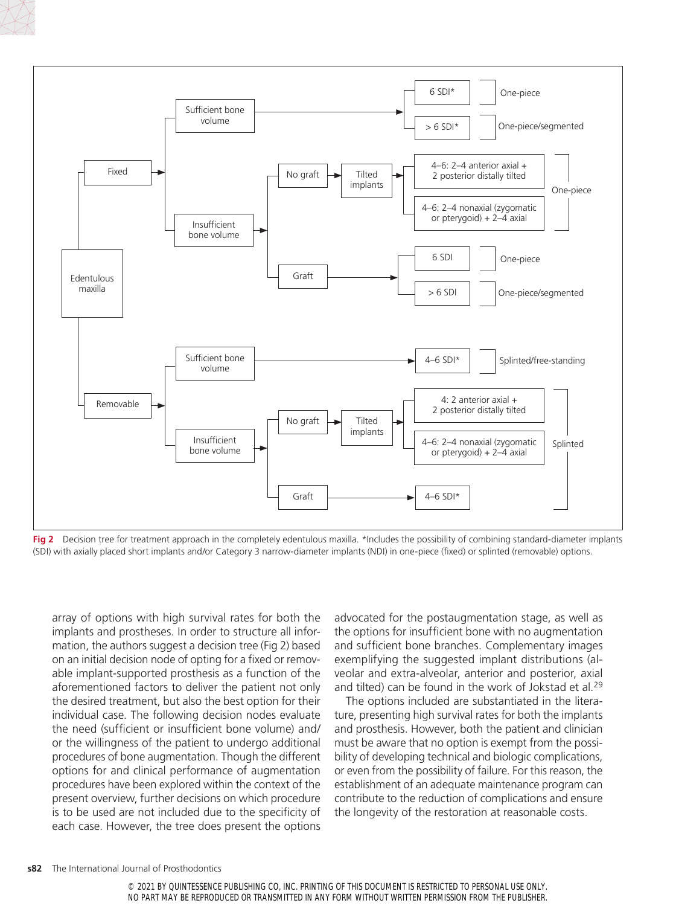



Fig 2 Decision tree for treatment approach in the completely edentulous maxilla. \*Includes the possibility of combining standard-diameter implants (SDI) with axially placed short implants and/or Category 3 narrow-diameter implants (NDI) in one-piece (fixed) or splinted (removable) options.

array of options with high survival rates for both the implants and prostheses. In order to structure all information, the authors suggest a decision tree (Fig 2) based on an initial decision node of opting for a fixed or removable implant-supported prosthesis as a function of the aforementioned factors to deliver the patient not only the desired treatment, but also the best option for their individual case. The following decision nodes evaluate the need (sufficient or insufficient bone volume) and/ or the willingness of the patient to undergo additional procedures of bone augmentation. Though the different options for and clinical performance of augmentation procedures have been explored within the context of the present overview, further decisions on which procedure is to be used are not included due to the specificity of each case. However, the tree does present the options advocated for the postaugmentation stage, as well as the options for insufficient bone with no augmentation and sufficient bone branches. Complementary images exemplifying the suggested implant distributions (alveolar and extra-alveolar, anterior and posterior, axial and tilted) can be found in the work of Jokstad et al.<sup>29</sup>

The options included are substantiated in the literature, presenting high survival rates for both the implants and prosthesis. However, both the patient and clinician must be aware that no option is exempt from the possibility of developing technical and biologic complications, or even from the possibility of failure. For this reason, the establishment of an adequate maintenance program can contribute to the reduction of complications and ensure the longevity of the restoration at reasonable costs.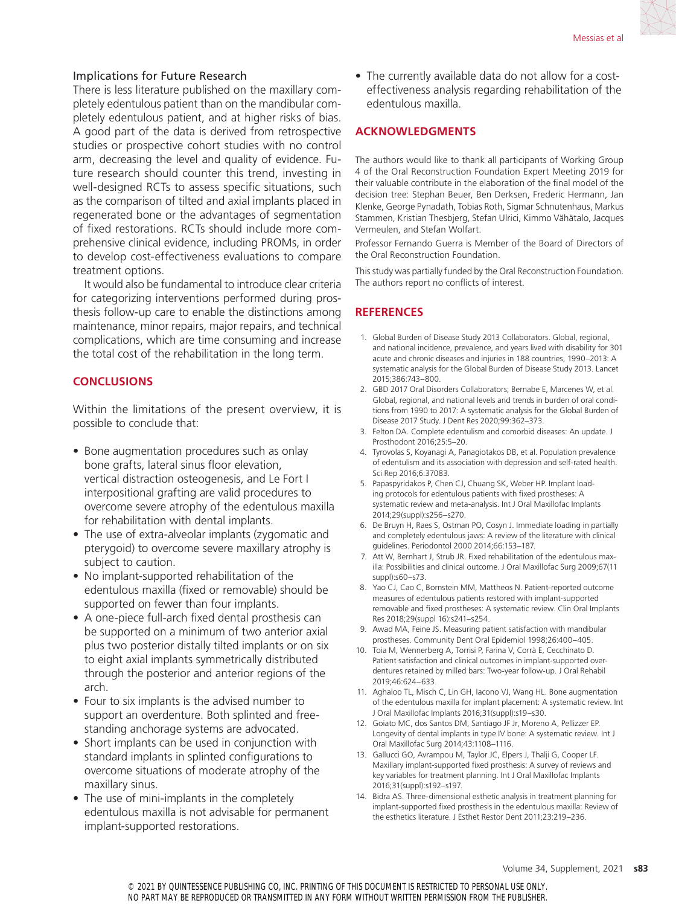#### Implications for Future Research

There is less literature published on the maxillary completely edentulous patient than on the mandibular completely edentulous patient, and at higher risks of bias. A good part of the data is derived from retrospective studies or prospective cohort studies with no control arm, decreasing the level and quality of evidence. Future research should counter this trend, investing in well-designed RCTs to assess specific situations, such as the comparison of tilted and axial implants placed in regenerated bone or the advantages of segmentation of fixed restorations. RCTs should include more comprehensive clinical evidence, including PROMs, in order to develop cost-effectiveness evaluations to compare treatment options.

It would also be fundamental to introduce clear criteria for categorizing interventions performed during prosthesis follow-up care to enable the distinctions among maintenance, minor repairs, major repairs, and technical complications, which are time consuming and increase the total cost of the rehabilitation in the long term.

#### **CONCLUSIONS**

Within the limitations of the present overview, it is possible to conclude that:

- Bone augmentation procedures such as onlay bone grafts, lateral sinus floor elevation, vertical distraction osteogenesis, and Le Fort I interpositional grafting are valid procedures to overcome severe atrophy of the edentulous maxilla for rehabilitation with dental implants.
- The use of extra-alveolar implants (zygomatic and pterygoid) to overcome severe maxillary atrophy is subject to caution.
- No implant-supported rehabilitation of the edentulous maxilla (fixed or removable) should be supported on fewer than four implants.
- A one-piece full-arch fixed dental prosthesis can be supported on a minimum of two anterior axial plus two posterior distally tilted implants or on six to eight axial implants symmetrically distributed through the posterior and anterior regions of the arch.
- Four to six implants is the advised number to support an overdenture. Both splinted and freestanding anchorage systems are advocated.
- Short implants can be used in conjunction with standard implants in splinted configurations to overcome situations of moderate atrophy of the maxillary sinus.
- The use of mini-implants in the completely edentulous maxilla is not advisable for permanent implant-supported restorations.

• The currently available data do not allow for a costeffectiveness analysis regarding rehabilitation of the edentulous maxilla.

#### **ACKNOWLEDGMENTS**

The authors would like to thank all participants of Working Group 4 of the Oral Reconstruction Foundation Expert Meeting 2019 for their valuable contribute in the elaboration of the final model of the decision tree: Stephan Beuer, Ben Derksen, Frederic Hermann, Jan Klenke, George Pynadath, Tobias Roth, Sigmar Schnutenhaus, Markus Stammen, Kristian Thesbjerg, Stefan Ulrici, Kimmo Vähätalo, Jacques Vermeulen, and Stefan Wolfart.

Professor Fernando Guerra is Member of the Board of Directors of the Oral Reconstruction Foundation.

This study was partially funded by the Oral Reconstruction Foundation. The authors report no conflicts of interest.

### **REFERENCES**

- 1. Global Burden of Disease Study 2013 Collaborators. Global, regional, and national incidence, prevalence, and years lived with disability for 301 acute and chronic diseases and injuries in 188 countries, 1990–2013: A systematic analysis for the Global Burden of Disease Study 2013. Lancet 2015;386:743–800.
- 2. GBD 2017 Oral Disorders Collaborators; Bernabe E, Marcenes W, et al. Global, regional, and national levels and trends in burden of oral conditions from 1990 to 2017: A systematic analysis for the Global Burden of Disease 2017 Study. J Dent Res 2020;99:362–373.
- 3. Felton DA. Complete edentulism and comorbid diseases: An update. J Prosthodont 2016;25:5–20.
- 4. Tyrovolas S, Koyanagi A, Panagiotakos DB, et al. Population prevalence of edentulism and its association with depression and self-rated health. Sci Rep 2016;6:37083.
- 5. Papaspyridakos P, Chen CJ, Chuang SK, Weber HP. Implant loading protocols for edentulous patients with fixed prostheses: A systematic review and meta-analysis. Int J Oral Maxillofac Implants 2014;29(suppl):s256–s270.
- 6. De Bruyn H, Raes S, Ostman PO, Cosyn J. Immediate loading in partially and completely edentulous jaws: A review of the literature with clinical guidelines. Periodontol 2000 2014;66:153–187.
- 7. Att W, Bernhart J, Strub JR. Fixed rehabilitation of the edentulous maxilla: Possibilities and clinical outcome. J Oral Maxillofac Surg 2009;67(11 suppl):s60–s73.
- 8. Yao CJ, Cao C, Bornstein MM, Mattheos N. Patient-reported outcome measures of edentulous patients restored with implant-supported removable and fixed prostheses: A systematic review. Clin Oral Implants Res 2018;29(suppl 16):s241–s254.
- 9. Awad MA, Feine JS. Measuring patient satisfaction with mandibular prostheses. Community Dent Oral Epidemiol 1998;26:400–405.
- 10. Toia M, Wennerberg A, Torrisi P, Farina V, Corrà E, Cecchinato D. Patient satisfaction and clinical outcomes in implant‐supported overdentures retained by milled bars: Two‐year follow‐up. J Oral Rehabil 2019;46:624–633.
- 11. Aghaloo TL, Misch C, Lin GH, Iacono VJ, Wang HL. Bone augmentation of the edentulous maxilla for implant placement: A systematic review. Int J Oral Maxillofac Implants 2016;31(suppl):s19–s30.
- 12. Goiato MC, dos Santos DM, Santiago JF Jr, Moreno A, Pellizzer EP. Longevity of dental implants in type IV bone: A systematic review. Int J Oral Maxillofac Surg 2014;43:1108–1116.
- 13. Gallucci GO, Avrampou M, Taylor JC, Elpers J, Thalji G, Cooper LF. Maxillary implant-supported fixed prosthesis: A survey of reviews and key variables for treatment planning. Int J Oral Maxillofac Implants 2016;31(suppl):s192–s197.
- 14. Bidra AS. Three-dimensional esthetic analysis in treatment planning for implant-supported fixed prosthesis in the edentulous maxilla: Review of the esthetics literature. J Esthet Restor Dent 2011;23:219–236.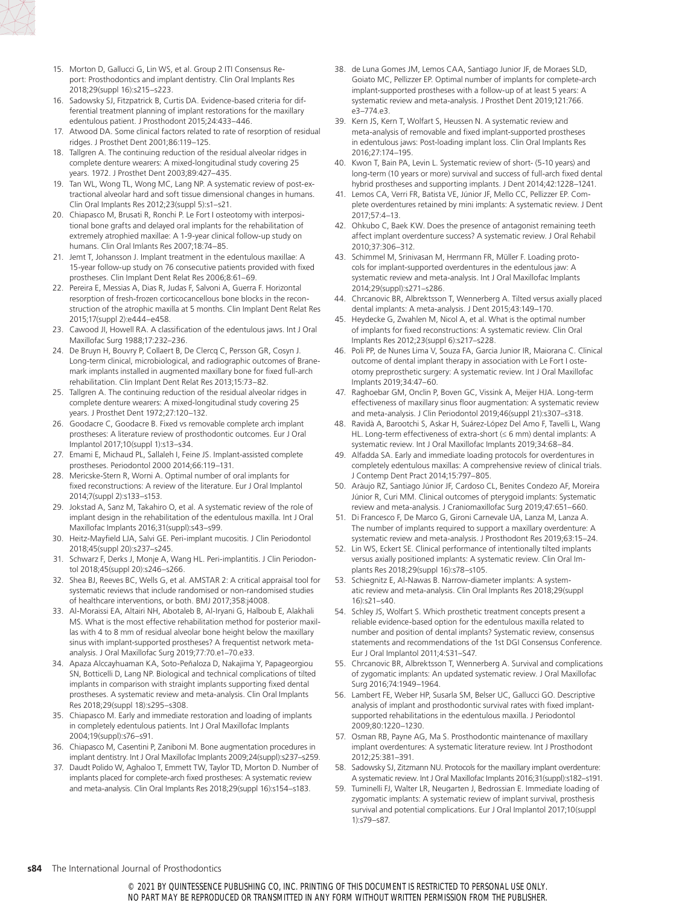- 15. Morton D, Gallucci G, Lin WS, et al. Group 2 ITI Consensus Report: Prosthodontics and implant dentistry. Clin Oral Implants Res 2018;29(suppl 16):s215–s223.
- 16. Sadowsky SJ, Fitzpatrick B, Curtis DA. Evidence-based criteria for differential treatment planning of implant restorations for the maxillary edentulous patient. J Prosthodont 2015;24:433–446.
- 17. Atwood DA. Some clinical factors related to rate of resorption of residual ridges. J Prosthet Dent 2001;86:119–125.
- 18. Tallgren A. The continuing reduction of the residual alveolar ridges in complete denture wearers: A mixed-longitudinal study covering 25 years. 1972. J Prosthet Dent 2003;89:427–435.
- 19. Tan WL, Wong TL, Wong MC, Lang NP. A systematic review of post-extractional alveolar hard and soft tissue dimensional changes in humans. Clin Oral Implants Res 2012;23(suppl 5):s1–s21.
- 20. Chiapasco M, Brusati R, Ronchi P. Le Fort I osteotomy with interpositional bone grafts and delayed oral implants for the rehabilitation of extremely atrophied maxillae: A 1-9-year clinical follow-up study on humans. Clin Oral Imlants Res 2007;18:74–85.
- 21. Jemt T, Johansson J. Implant treatment in the edentulous maxillae: A 15-year follow-up study on 76 consecutive patients provided with fixed prostheses. Clin Implant Dent Relat Res 2006;8:61–69.
- 22. Pereira E, Messias A, Dias R, Judas F, Salvoni A, Guerra F. Horizontal resorption of fresh-frozen corticocancellous bone blocks in the reconstruction of the atrophic maxilla at 5 months. Clin Implant Dent Relat Res 2015;17(suppl 2):e444–e458.
- 23. Cawood JI, Howell RA. A classification of the edentulous jaws. Int J Oral Maxillofac Surg 1988;17:232–236.
- 24. De Bruyn H, Bouvry P, Collaert B, De Clercq C, Persson GR, Cosyn J. Long-term clinical, microbiological, and radiographic outcomes of Branemark implants installed in augmented maxillary bone for fixed full-arch rehabilitation. Clin Implant Dent Relat Res 2013;15:73–82.
- 25. Tallgren A. The continuing reduction of the residual alveolar ridges in complete denture wearers: A mixed-longitudinal study covering 25 years. J Prosthet Dent 1972;27:120–132.
- 26. Goodacre C, Goodacre B. Fixed vs removable complete arch implant prostheses: A literature review of prosthodontic outcomes. Eur J Oral Implantol 2017;10(suppl 1):s13–s34.
- 27. Emami E, Michaud PL, Sallaleh I, Feine JS. Implant-assisted complete prostheses. Periodontol 2000 2014;66:119–131.
- 28. Mericske-Stern R, Worni A. Optimal number of oral implants for fixed reconstructions: A review of the literature. Eur J Oral Implantol 2014;7(suppl 2):s133–s153.
- 29. Jokstad A, Sanz M, Takahiro O, et al. A systematic review of the role of implant design in the rehabilitation of the edentulous maxilla. Int J Oral Maxillofac Implants 2016;31(suppl):s43–s99.
- 30. Heitz-Mayfield LJA, Salvi GE. Peri-implant mucositis. J Clin Periodontol 2018;45(suppl 20):s237–s245.
- 31. Schwarz F, Derks J, Monje A, Wang HL. Peri-implantitis. J Clin Periodontol 2018;45(suppl 20):s246–s266.
- 32. Shea BJ, Reeves BC, Wells G, et al. AMSTAR 2: A critical appraisal tool for systematic reviews that include randomised or non-randomised studies of healthcare interventions, or both. BMJ 2017;358:j4008.
- 33. Al-Moraissi EA, Altairi NH, Abotaleb B, Al-Iryani G, Halboub E, Alakhali MS. What is the most effective rehabilitation method for posterior maxillas with 4 to 8 mm of residual alveolar bone height below the maxillary sinus with implant-supported prostheses? A frequentist network metaanalysis. J Oral Maxillofac Surg 2019;77:70.e1–70.e33.
- 34. Apaza Alccayhuaman KA, Soto-Peñaloza D, Nakajima Y, Papageorgiou SN, Botticelli D, Lang NP. Biological and technical complications of tilted implants in comparison with straight implants supporting fixed dental prostheses. A systematic review and meta-analysis. Clin Oral Implants Res 2018;29(suppl 18):s295–s308.
- 35. Chiapasco M. Early and immediate restoration and loading of implants in completely edentulous patients. Int J Oral Maxillofac Implants 2004;19(suppl):s76–s91.
- 36. Chiapasco M, Casentini P, Zaniboni M. Bone augmentation procedures in implant dentistry. Int J Oral Maxillofac Implants 2009;24(suppl):s237–s259.
- 37. Daudt Polido W, Aghaloo T, Emmett TW, Taylor TD, Morton D. Number of implants placed for complete-arch fixed prostheses: A systematic review and meta-analysis. Clin Oral Implants Res 2018;29(suppl 16):s154–s183.
- 38. de Luna Gomes JM, Lemos CAA, Santiago Junior JF, de Moraes SLD, Goiato MC, Pellizzer EP. Optimal number of implants for complete-arch implant-supported prostheses with a follow-up of at least 5 years: A systematic review and meta-analysis. J Prosthet Dent 2019;121:766. e3–774.e3.
- 39. Kern JS, Kern T, Wolfart S, Heussen N. A systematic review and meta-analysis of removable and fixed implant-supported prostheses in edentulous jaws: Post-loading implant loss. Clin Oral Implants Res 2016;27:174–195.
- 40. Kwon T, Bain PA, Levin L. Systematic review of short- (5-10 years) and long-term (10 years or more) survival and success of full-arch fixed dental hybrid prostheses and supporting implants. J Dent 2014;42:1228–1241.
- 41. Lemos CA, Verri FR, Batista VE, Júnior JF, Mello CC, Pellizzer EP. Complete overdentures retained by mini implants: A systematic review. J Dent 2017;57:4–13.
- 42. Ohkubo C, Baek KW. Does the presence of antagonist remaining teeth affect implant overdenture success? A systematic review. J Oral Rehabil 2010;37:306–312.
- 43. Schimmel M, Srinivasan M, Herrmann FR, Müller F. Loading protocols for implant-supported overdentures in the edentulous jaw: A systematic review and meta-analysis. Int J Oral Maxillofac Implants 2014;29(suppl):s271–s286.
- 44. Chrcanovic BR, Albrektsson T, Wennerberg A. Tilted versus axially placed dental implants: A meta-analysis. J Dent 2015;43:149–170.
- 45. Heydecke G, Zwahlen M, Nicol A, et al. What is the optimal number of implants for fixed reconstructions: A systematic review. Clin Oral Implants Res 2012;23(suppl 6):s217–s228.
- 46. Poli PP, de Nunes Lima V, Souza FA, Garcia Junior IR, Maiorana C. Clinical outcome of dental implant therapy in association with Le Fort I osteotomy preprosthetic surgery: A systematic review. Int J Oral Maxillofac Implants 2019;34:47–60.
- 47. Raghoebar GM, Onclin P, Boven GC, Vissink A, Meijer HJA. Long-term effectiveness of maxillary sinus floor augmentation: A systematic review and meta-analysis. J Clin Periodontol 2019;46(suppl 21):s307–s318.
- 48. Ravidà A, Barootchi S, Askar H, Suárez-López Del Amo F, Tavelli L, Wang HL. Long-term effectiveness of extra-short (≤ 6 mm) dental implants: A systematic review. Int J Oral Maxillofac Implants 2019;34:68–84.
- 49. Alfadda SA. Early and immediate loading protocols for overdentures in completely edentulous maxillas: A comprehensive review of clinical trials. J Contemp Dent Pract 2014;15:797–805.
- 50. Aràujo RZ, Santiago Júnior JF, Cardoso CL, Benites Condezo AF, Moreira Júnior R, Curi MM. Clinical outcomes of pterygoid implants: Systematic review and meta-analysis. J Craniomaxillofac Surg 2019;47:651–660.
- 51. Di Francesco F, De Marco G, Gironi Carnevale UA, Lanza M, Lanza A. The number of implants required to support a maxillary overdenture: A systematic review and meta-analysis. J Prosthodont Res 2019;63:15–24.
- 52. Lin WS, Eckert SE. Clinical performance of intentionally tilted implants versus axially positioned implants: A systematic review. Clin Oral Implants Res 2018;29(suppl 16):s78–s105.
- 53. Schiegnitz E, Al-Nawas B. Narrow-diameter implants: A systematic review and meta-analysis. Clin Oral Implants Res 2018;29(suppl 16):s21–s40.
- 54. Schley JS, Wolfart S. Which prosthetic treatment concepts present a reliable evidence-based option for the edentulous maxilla related to number and position of dental implants? Systematic review, consensus statements and recommendations of the 1st DGI Consensus Conference. Eur J Oral Implantol 2011;4:S31–S47.
- 55. Chrcanovic BR, Albrektsson T, Wennerberg A. Survival and complications of zygomatic implants: An updated systematic review. J Oral Maxillofac Surg 2016;74:1949–1964.
- 56. Lambert FE, Weber HP, Susarla SM, Belser UC, Gallucci GO. Descriptive analysis of implant and prosthodontic survival rates with fixed implantsupported rehabilitations in the edentulous maxilla. J Periodontol 2009;80:1220–1230.
- 57. Osman RB, Payne AG, Ma S. Prosthodontic maintenance of maxillary implant overdentures: A systematic literature review. Int J Prosthodont 2012;25:381–391.
- 58. Sadowsky SJ, Zitzmann NU. Protocols for the maxillary implant overdenture: A systematic review. Int J Oral Maxillofac Implants 2016;31(suppl):s182–s191.
- 59. Tuminelli FJ, Walter LR, Neugarten J, Bedrossian E. Immediate loading of zygomatic implants: A systematic review of implant survival, prosthesis survival and potential complications. Eur J Oral Implantol 2017;10(suppl 1):s79–s87.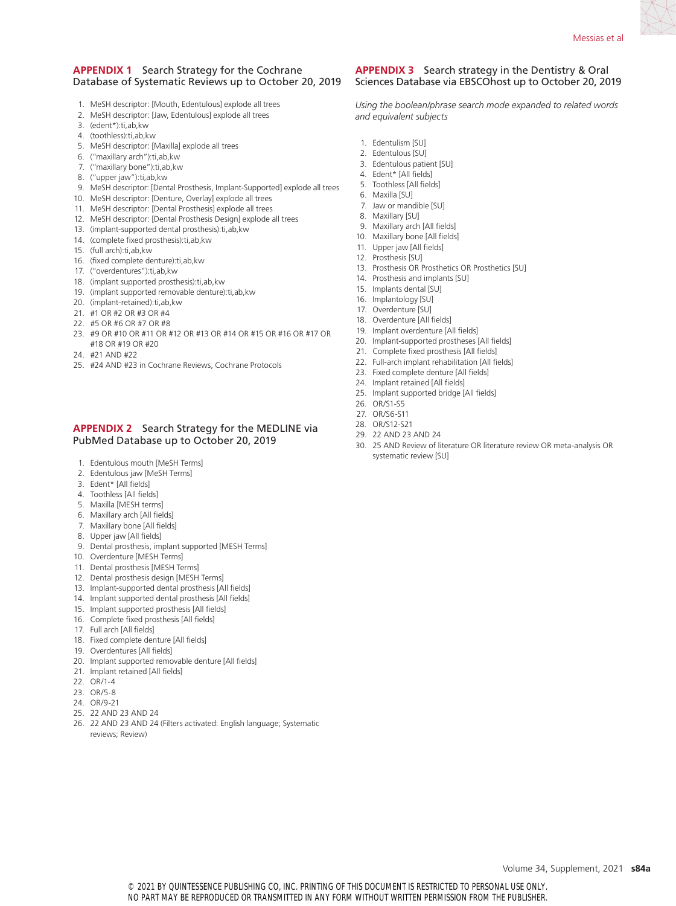#### **APPENDIX 1** Search Strategy for the Cochrane Database of Systematic Reviews up to October 20, 2019

- 1. MeSH descriptor: [Mouth, Edentulous] explode all trees
- 2. MeSH descriptor: [Jaw, Edentulous] explode all trees
- 3. (edent\*):ti,ab,kw
- 4. (toothless):ti,ab,kw
- 5. MeSH descriptor: [Maxilla] explode all trees
- 6. ("maxillary arch"):ti,ab,kw
- 7. ("maxillary bone"):ti,ab,kw
- 8. ("upper jaw"):ti,ab,kw
- 9. MeSH descriptor: [Dental Prosthesis, Implant-Supported] explode all trees
- 10. MeSH descriptor: [Denture, Overlay] explode all trees
- 11. MeSH descriptor: [Dental Prosthesis] explode all trees
- 12. MeSH descriptor: [Dental Prosthesis Design] explode all trees
- 13. (implant-supported dental prosthesis):ti,ab,kw
- 14. (complete fixed prosthesis):ti,ab,kw
- 15. (full arch):ti,ab,kw
- 16. (fixed complete denture):ti,ab,kw
- 17. ("overdentures"):ti,ab,kw
- 18. (implant supported prosthesis):ti,ab,kw
- 19. (implant supported removable denture):ti,ab,kw
- 20. (implant-retained):ti,ab,kw
- 21. #1 OR #2 OR #3 OR #4
- 22. #5 OR #6 OR #7 OR #8
- 23. #9 OR #10 OR #11 OR #12 OR #13 OR #14 OR #15 OR #16 OR #17 OR #18 OR #19 OR #20
- 24. #21 AND #22
- 25. #24 AND #23 in Cochrane Reviews, Cochrane Protocols

#### **APPENDIX 2** Search Strategy for the MEDLINE via PubMed Database up to October 20, 2019

- 1. Edentulous mouth [MeSH Terms]
- 2. Edentulous jaw [MeSH Terms]
- 3. Edent\* [All fields]
- 4. Toothless [All fields]
- 5. Maxilla [MESH terms]
- 6. Maxillary arch [All fields]
- 7. Maxillary bone [All fields]
- 8. Upper jaw [All fields]
- 9. Dental prosthesis, implant supported [MESH Terms]
- 10. Overdenture [MESH Terms]
- 11. Dental prosthesis [MESH Terms]
- 12. Dental prosthesis design [MESH Terms]
- 13. Implant-supported dental prosthesis [All fields]
- 14. Implant supported dental prosthesis [All fields]
- 15. Implant supported prosthesis [All fields]
- 16. Complete fixed prosthesis [All fields]
- 17. Full arch [All fields]
- 18. Fixed complete denture [All fields]
- 19. Overdentures [All fields]
- 20. Implant supported removable denture [All fields]
- 21. Implant retained [All fields]
- 22. OR/1-4
- 23. OR/5-8
- 24. OR/9-21
- 25. 22 AND 23 AND 24
- 26. 22 AND 23 AND 24 (Filters activated: English language; Systematic reviews; Review)

#### **APPENDIX 3** Search strategy in the Dentistry & Oral Sciences Database via EBSCOhost up to October 20, 2019

*Using the boolean/phrase search mode expanded to related words and equivalent subjects*

- 1. Edentulism [SU]
- 2. Edentulous [SU]
- 3. Edentulous patient [SU]
- 4. Edent\* [All fields] 5. Toothless [All fields]
- 
- 6. Maxilla [SU] 7. Jaw or mandible [SU]
- 8. Maxillary [SU]
- 9. Maxillary arch [All fields]
- 10. Maxillary bone [All fields]
- 11. Upper jaw [All fields]
- 12. Prosthesis [SU]
- 13. Prosthesis OR Prosthetics OR Prosthetics [SU]
- 14. Prosthesis and implants [SU]
- 15. Implants dental [SU]
- 16. Implantology [SU]
- 17. Overdenture [SU]
- 18. Overdenture [All fields]
- 19. Implant overdenture [All fields]
- 20. Implant-supported prostheses [All fields]
- 21. Complete fixed prosthesis [All fields]
- 22. Full-arch implant rehabilitation [All fields]
- 23. Fixed complete denture [All fields]
- 24. Implant retained [All fields]
- 25. Implant supported bridge [All fields]
- 26. OR/S1-S5
- 27. OR/S6-S11
- 28. OR/S12-S21
- 29. 22 AND 23 AND 24
- 30. 25 AND Review of literature OR literature review OR meta-analysis OR systematic review [SU]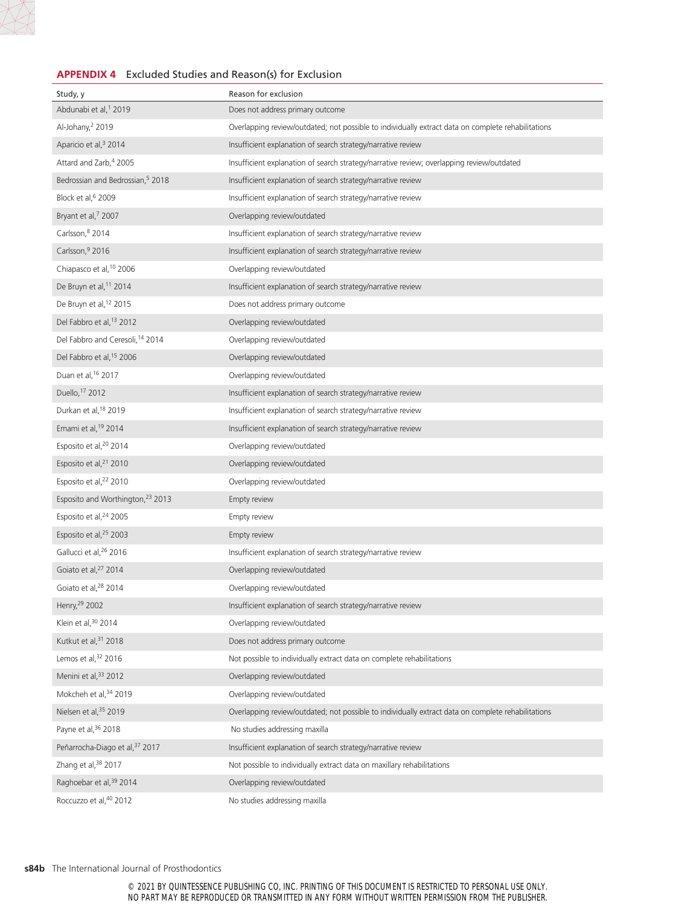#### **APPENDIX 4** Excluded Studies and Reason(s) for Exclusion

| Study, y                                     | Reason for exclusion                                                                               |
|----------------------------------------------|----------------------------------------------------------------------------------------------------|
| Abdunabi et al, <sup>1</sup> 2019            | Does not address primary outcome                                                                   |
| Al-Johany, <sup>2</sup> 2019                 | Overlapping review/outdated; not possible to individually extract data on complete rehabilitations |
| Aparicio et al, <sup>3</sup> 2014            | Insufficient explanation of search strategy/narrative review                                       |
| Attard and Zarb, <sup>4</sup> 2005           | Insufficient explanation of search strategy/narrative review; overlapping review/outdated          |
| Bedrossian and Bedrossian, <sup>5</sup> 2018 | Insufficient explanation of search strategy/narrative review                                       |
| Block et al, 6 2009                          | Insufficient explanation of search strategy/narrative review                                       |
| Bryant et al, <sup>7</sup> 2007              | Overlapping review/outdated                                                                        |
| Carlsson, 8 2014                             | Insufficient explanation of search strategy/narrative review                                       |
| Carlsson, 9 2016                             | Insufficient explanation of search strategy/narrative review                                       |
| Chiapasco et al, 10 2006                     | Overlapping review/outdated                                                                        |
| De Bruyn et al, 11 2014                      | Insufficient explanation of search strategy/narrative review                                       |
| De Bruyn et al, <sup>12</sup> 2015           | Does not address primary outcome                                                                   |
| Del Fabbro et al, 13 2012                    | Overlapping review/outdated                                                                        |
| Del Fabbro and Ceresoli, 14 2014             | Overlapping review/outdated                                                                        |
| Del Fabbro et al, <sup>15</sup> 2006         | Overlapping review/outdated                                                                        |
| Duan et al, 16 2017                          | Overlapping review/outdated                                                                        |
| Duello, 17 2012                              | Insufficient explanation of search strategy/narrative review                                       |
| Durkan et al, 18 2019                        | Insufficient explanation of search strategy/narrative review                                       |
| Emami et al, 19 2014                         | Insufficient explanation of search strategy/narrative review                                       |
| Esposito et al, <sup>20</sup> 2014           | Overlapping review/outdated                                                                        |
| Esposito et al, <sup>21</sup> 2010           | Overlapping review/outdated                                                                        |
| Esposito et al, <sup>22</sup> 2010           | Overlapping review/outdated                                                                        |
| Esposito and Worthington, <sup>23</sup> 2013 | Empty review                                                                                       |
| Esposito et al, <sup>24</sup> 2005           | Empty review                                                                                       |
| Esposito et al, 25 2003                      | Empty review                                                                                       |
| Gallucci et al, 26 2016                      | Insufficient explanation of search strategy/narrative review                                       |
| Goiato et al, <sup>27</sup> 2014             | Overlapping review/outdated                                                                        |
| Goiato et al, <sup>28</sup> 2014             | Overlapping review/outdated                                                                        |
| Henry, 29 2002                               | Insufficient explanation of search strategy/narrative review                                       |
| Klein et al, 30 2014                         | Overlapping review/outdated                                                                        |
| Kutkut et al, 31 2018                        | Does not address primary outcome                                                                   |
| Lemos et al, 32 2016                         | Not possible to individually extract data on complete rehabilitations                              |
| Menini et al, 33 2012                        | Overlapping review/outdated                                                                        |
| Mokcheh et al, 34 2019                       | Overlapping review/outdated                                                                        |
| Nielsen et al, 35 2019                       | Overlapping review/outdated; not possible to individually extract data on complete rehabilitations |
| Payne et al, 36 2018                         | No studies addressing maxilla                                                                      |
| Peñarrocha-Diago et al, 37 2017              | Insufficient explanation of search strategy/narrative review                                       |
| Zhang et al, 38 2017                         | Not possible to individually extract data on maxillary rehabilitations                             |
| Raghoebar et al, 39 2014                     | Overlapping review/outdated                                                                        |
| Roccuzzo et al, 40 2012                      | No studies addressing maxilla                                                                      |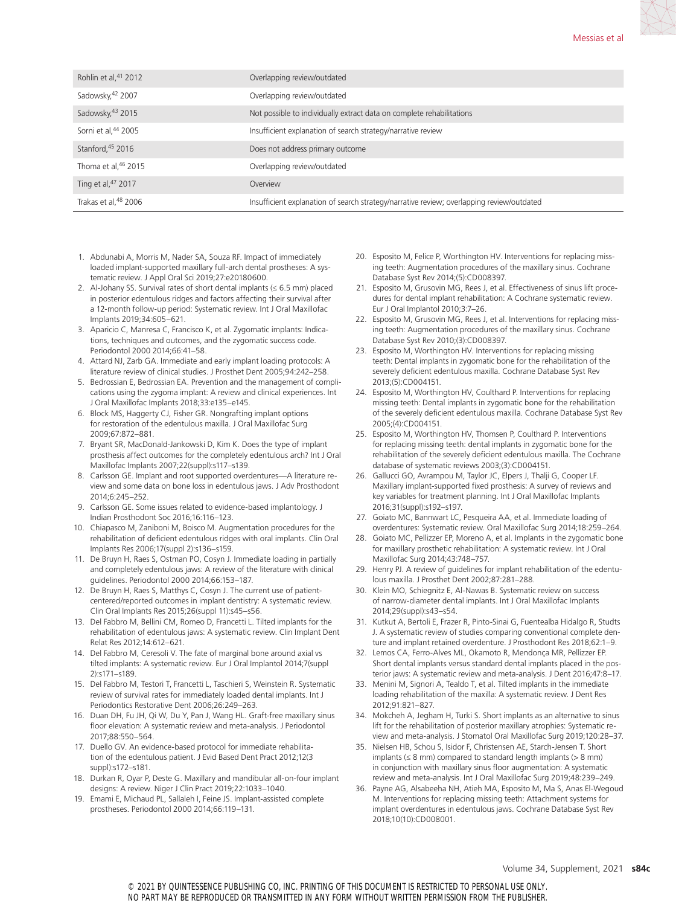| Rohlin et al, <sup>41</sup> 2012 | Overlapping review/outdated                                                               |
|----------------------------------|-------------------------------------------------------------------------------------------|
| Sadowsky, 42 2007                | Overlapping review/outdated                                                               |
| Sadowsky, 43 2015                | Not possible to individually extract data on complete rehabilitations                     |
| Sorni et al, <sup>44</sup> 2005  | Insufficient explanation of search strategy/narrative review                              |
| Stanford, 45 2016                | Does not address primary outcome                                                          |
| Thoma et al, 46 2015             | Overlapping review/outdated                                                               |
| Ting et al, 47 2017              | Overview                                                                                  |
| Trakas et al, <sup>48</sup> 2006 | Insufficient explanation of search strategy/narrative review; overlapping review/outdated |

- 1. Abdunabi A, Morris M, Nader SA, Souza RF. Impact of immediately loaded implant-supported maxillary full-arch dental prostheses: A systematic review. J Appl Oral Sci 2019;27:e20180600.
- 2. Al-Johany SS. Survival rates of short dental implants ( $\leq 6.5$  mm) placed in posterior edentulous ridges and factors affecting their survival after a 12-month follow-up period: Systematic review. Int J Oral Maxillofac Implants 2019;34:605–621.
- 3. Aparicio C, Manresa C, Francisco K, et al. Zygomatic implants: Indications, techniques and outcomes, and the zygomatic success code. Periodontol 2000 2014;66:41–58.
- 4. Attard NJ, Zarb GA. Immediate and early implant loading protocols: A literature review of clinical studies. J Prosthet Dent 2005;94:242–258.
- 5. Bedrossian E, Bedrossian EA. Prevention and the management of complications using the zygoma implant: A review and clinical experiences. Int J Oral Maxillofac Implants 2018;33:e135–e145.
- 6. Block MS, Haggerty CJ, Fisher GR. Nongrafting implant options for restoration of the edentulous maxilla. J Oral Maxillofac Surg 2009;67:872–881.
- 7. Bryant SR, MacDonald-Jankowski D, Kim K. Does the type of implant prosthesis affect outcomes for the completely edentulous arch? Int J Oral Maxillofac Implants 2007;22(suppl):s117–s139.
- 8. Carlsson GE. Implant and root supported overdentures—A literature review and some data on bone loss in edentulous jaws. J Adv Prosthodont 2014;6:245–252.
- 9. Carlsson GE. Some issues related to evidence-based implantology. J Indian Prosthodont Soc 2016;16:116–123.
- 10. Chiapasco M, Zaniboni M, Boisco M. Augmentation procedures for the rehabilitation of deficient edentulous ridges with oral implants. Clin Oral Implants Res 2006;17(suppl 2):s136–s159.
- 11. De Bruyn H, Raes S, Ostman PO, Cosyn J. Immediate loading in partially and completely edentulous jaws: A review of the literature with clinical guidelines. Periodontol 2000 2014;66:153–187.
- 12. De Bruyn H, Raes S, Matthys C, Cosyn J. The current use of patientcentered/reported outcomes in implant dentistry: A systematic review. Clin Oral Implants Res 2015;26(suppl 11):s45–s56.
- 13. Del Fabbro M, Bellini CM, Romeo D, Francetti L. Tilted implants for the rehabilitation of edentulous jaws: A systematic review. Clin Implant Dent Relat Res 2012;14:612–621.
- 14. Del Fabbro M, Ceresoli V. The fate of marginal bone around axial vs tilted implants: A systematic review. Eur J Oral Implantol 2014;7(suppl 2):s171–s189.
- 15. Del Fabbro M, Testori T, Francetti L, Taschieri S, Weinstein R. Systematic review of survival rates for immediately loaded dental implants. Int J Periodontics Restorative Dent 2006;26:249–263.
- 16. Duan DH, Fu JH, Qi W, Du Y, Pan J, Wang HL. Graft-free maxillary sinus floor elevation: A systematic review and meta-analysis. J Periodontol 2017;88:550–564.
- 17. Duello GV. An evidence-based protocol for immediate rehabilitation of the edentulous patient. J Evid Based Dent Pract 2012;12(3 suppl):s172–s181.
- 18. Durkan R, Oyar P, Deste G. Maxillary and mandibular all-on-four implant designs: A review. Niger J Clin Pract 2019;22:1033–1040.
- 19. Emami E, Michaud PL, Sallaleh I, Feine JS. Implant-assisted complete prostheses. Periodontol 2000 2014;66:119–131.
- 20. Esposito M, Felice P, Worthington HV. Interventions for replacing missing teeth: Augmentation procedures of the maxillary sinus. Cochrane Database Syst Rev 2014;(5):CD008397.
- 21. Esposito M, Grusovin MG, Rees J, et al. Effectiveness of sinus lift procedures for dental implant rehabilitation: A Cochrane systematic review. Eur J Oral Implantol 2010;3:7–26.
- 22. Esposito M, Grusovin MG, Rees J, et al. Interventions for replacing missing teeth: Augmentation procedures of the maxillary sinus. Cochrane Database Syst Rev 2010;(3):CD008397.
- 23. Esposito M, Worthington HV. Interventions for replacing missing teeth: Dental implants in zygomatic bone for the rehabilitation of the severely deficient edentulous maxilla. Cochrane Database Syst Rev 2013;(5):CD004151.
- 24. Esposito M, Worthington HV, Coulthard P. Interventions for replacing missing teeth: Dental implants in zygomatic bone for the rehabilitation of the severely deficient edentulous maxilla. Cochrane Database Syst Rev 2005;(4):CD004151.
- 25. Esposito M, Worthington HV, Thomsen P, Coulthard P. Interventions for replacing missing teeth: dental implants in zygomatic bone for the rehabilitation of the severely deficient edentulous maxilla. The Cochrane database of systematic reviews 2003;(3):CD004151.
- 26. Gallucci GO, Avrampou M, Taylor JC, Elpers J, Thalji G, Cooper LF. Maxillary implant-supported fixed prosthesis: A survey of reviews and key variables for treatment planning. Int J Oral Maxillofac Implants 2016;31(suppl):s192–s197.
- 27. Goiato MC, Bannwart LC, Pesqueira AA, et al. Immediate loading of overdentures: Systematic review. Oral Maxillofac Surg 2014;18:259–264.
- 28. Goiato MC, Pellizzer EP, Moreno A, et al. Implants in the zygomatic bone for maxillary prosthetic rehabilitation: A systematic review. Int J Oral Maxillofac Surg 2014;43:748–757.
- 29. Henry PJ. A review of guidelines for implant rehabilitation of the edentulous maxilla. J Prosthet Dent 2002;87:281–288.
- 30. Klein MO, Schiegnitz E, Al-Nawas B. Systematic review on success of narrow-diameter dental implants. Int J Oral Maxillofac Implants 2014;29(suppl):s43–s54.
- 31. Kutkut A, Bertoli E, Frazer R, Pinto-Sinai G, Fuentealba Hidalgo R, Studts J. A systematic review of studies comparing conventional complete denture and implant retained overdenture. J Prosthodont Res 2018;62:1–9.
- 32. Lemos CA, Ferro-Alves ML, Okamoto R, Mendonça MR, Pellizzer EP. Short dental implants versus standard dental implants placed in the posterior jaws: A systematic review and meta-analysis. J Dent 2016;47:8–17.
- 33. Menini M, Signori A, Tealdo T, et al. Tilted implants in the immediate loading rehabilitation of the maxilla: A systematic review. J Dent Res 2012;91:821–827.
- 34. Mokcheh A, Jegham H, Turki S. Short implants as an alternative to sinus lift for the rehabilitation of posterior maxillary atrophies: Systematic review and meta-analysis. J Stomatol Oral Maxillofac Surg 2019;120:28–37.
- 35. Nielsen HB, Schou S, Isidor F, Christensen AE, Starch-Jensen T. Short implants ( $\leq 8$  mm) compared to standard length implants ( $> 8$  mm) in conjunction with maxillary sinus floor augmentation: A systematic review and meta-analysis. Int J Oral Maxillofac Surg 2019;48:239–249.
- 36. Payne AG, Alsabeeha NH, Atieh MA, Esposito M, Ma S, Anas El‐Wegoud M. Interventions for replacing missing teeth: Attachment systems for implant overdentures in edentulous jaws. Cochrane Database Syst Rev 2018;10(10):CD008001.